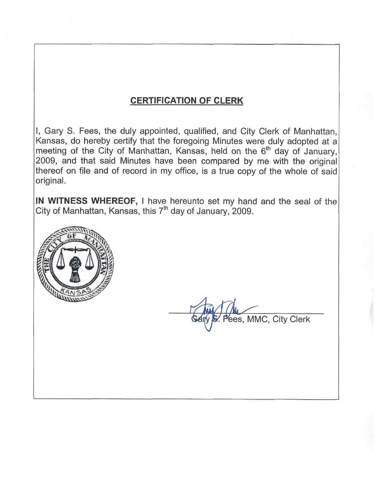# **CERTIFICATION OF CLERK**

I, Gary S. Fees, the duly appointed, qualified, and City Clerk of Manhattan, Kansas, do hereby certify that the foregoing Minutes were duly adopted at a meeting of the City of Manhattan, Kansas, held on the 6<sup>th</sup> day of January. 2009, and that said Minutes have been compared by me with the original thereof on file and of record in my office, is a true copy of the whole of said original.

IN WITNESS WHEREOF, I have hereunto set my hand and the seal of the City of Manhattan, Kansas, this 7<sup>th</sup> day of January, 2009.



ees, MMC, City Clerk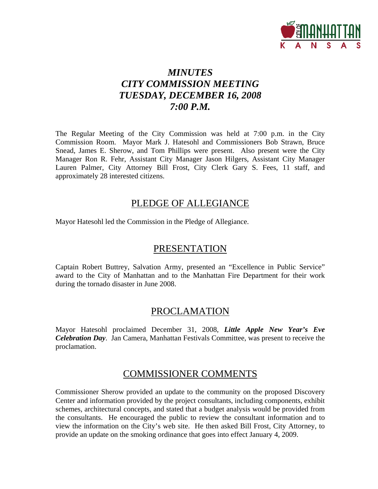

# *MINUTES CITY COMMISSION MEETING TUESDAY, DECEMBER 16, 2008 7:00 P.M.*

The Regular Meeting of the City Commission was held at 7:00 p.m. in the City Commission Room. Mayor Mark J. Hatesohl and Commissioners Bob Strawn, Bruce Snead, James E. Sherow, and Tom Phillips were present. Also present were the City Manager Ron R. Fehr, Assistant City Manager Jason Hilgers, Assistant City Manager Lauren Palmer, City Attorney Bill Frost, City Clerk Gary S. Fees, 11 staff, and approximately 28 interested citizens.

# PLEDGE OF ALLEGIANCE

Mayor Hatesohl led the Commission in the Pledge of Allegiance.

# **PRESENTATION**

Captain Robert Buttrey, Salvation Army, presented an "Excellence in Public Service" award to the City of Manhattan and to the Manhattan Fire Department for their work during the tornado disaster in June 2008.

# PROCLAMATION

Mayor Hatesohl proclaimed December 31, 2008, *Little Apple New Year's Eve Celebration Day*. Jan Camera, Manhattan Festivals Committee, was present to receive the proclamation.

# COMMISSIONER COMMENTS

Commissioner Sherow provided an update to the community on the proposed Discovery Center and information provided by the project consultants, including components, exhibit schemes, architectural concepts, and stated that a budget analysis would be provided from the consultants. He encouraged the public to review the consultant information and to view the information on the City's web site. He then asked Bill Frost, City Attorney, to provide an update on the smoking ordinance that goes into effect January 4, 2009.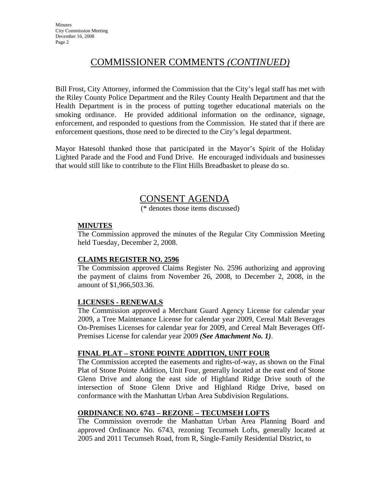# COMMISSIONER COMMENTS *(CONTINUED)*

Bill Frost, City Attorney, informed the Commission that the City's legal staff has met with the Riley County Police Department and the Riley County Health Department and that the Health Department is in the process of putting together educational materials on the smoking ordinance. He provided additional information on the ordinance, signage, enforcement, and responded to questions from the Commission. He stated that if there are enforcement questions, those need to be directed to the City's legal department.

Mayor Hatesohl thanked those that participated in the Mayor's Spirit of the Holiday Lighted Parade and the Food and Fund Drive. He encouraged individuals and businesses that would still like to contribute to the Flint Hills Breadbasket to please do so.

# CONSENT AGENDA

(\* denotes those items discussed)

# **MINUTES**

The Commission approved the minutes of the Regular City Commission Meeting held Tuesday, December 2, 2008.

# **CLAIMS REGISTER NO. 2596**

The Commission approved Claims Register No. 2596 authorizing and approving the payment of claims from November 26, 2008, to December 2, 2008, in the amount of \$1,966,503.36.

# **LICENSES - RENEWALS**

The Commission approved a Merchant Guard Agency License for calendar year 2009, a Tree Maintenance License for calendar year 2009, Cereal Malt Beverages On-Premises Licenses for calendar year for 2009, and Cereal Malt Beverages Off-Premises License for calendar year 2009 *(See Attachment No. 1)*.

# **FINAL PLAT – STONE POINTE ADDITION, UNIT FOUR**

The Commission accepted the easements and rights-of-way, as shown on the Final Plat of Stone Pointe Addition, Unit Four, generally located at the east end of Stone Glenn Drive and along the east side of Highland Ridge Drive south of the intersection of Stone Glenn Drive and Highland Ridge Drive, based on conformance with the Manhattan Urban Area Subdivision Regulations.

# **ORDINANCE NO. 6743 – REZONE – TECUMSEH LOFTS**

The Commission overrode the Manhattan Urban Area Planning Board and approved Ordinance No. 6743, rezoning Tecumseh Lofts, generally located at 2005 and 2011 Tecumseh Road, from R, Single-Family Residential District, to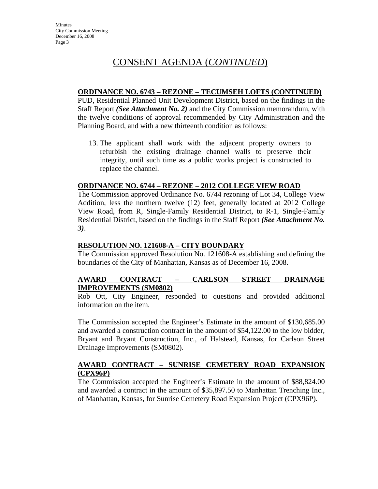### **ORDINANCE NO. 6743 – REZONE – TECUMSEH LOFTS (CONTINUED)**

PUD, Residential Planned Unit Development District, based on the findings in the Staff Report *(See Attachment No. 2)* and the City Commission memorandum, with the twelve conditions of approval recommended by City Administration and the Planning Board, and with a new thirteenth condition as follows:

13. The applicant shall work with the adjacent property owners to refurbish the existing drainage channel walls to preserve their integrity, until such time as a public works project is constructed to replace the channel.

# **ORDINANCE NO. 6744 – REZONE – 2012 COLLEGE VIEW ROAD**

The Commission approved Ordinance No. 6744 rezoning of Lot 34, College View Addition, less the northern twelve (12) feet, generally located at 2012 College View Road, from R, Single-Family Residential District, to R-1, Single-Family Residential District, based on the findings in the Staff Report *(See Attachment No. 3)*.

## **RESOLUTION NO. 121608-A – CITY BOUNDARY**

The Commission approved Resolution No. 121608-A establishing and defining the boundaries of the City of Manhattan, Kansas as of December 16, 2008.

#### **AWARD CONTRACT – CARLSON STREET DRAINAGE IMPROVEMENTS (SM0802)**

Rob Ott, City Engineer, responded to questions and provided additional information on the item.

The Commission accepted the Engineer's Estimate in the amount of \$130,685.00 and awarded a construction contract in the amount of \$54,122.00 to the low bidder, Bryant and Bryant Construction, Inc., of Halstead, Kansas, for Carlson Street Drainage Improvements (SM0802).

### **AWARD CONTRACT – SUNRISE CEMETERY ROAD EXPANSION (CPX96P)**

The Commission accepted the Engineer's Estimate in the amount of \$88,824.00 and awarded a contract in the amount of \$35,897.50 to Manhattan Trenching Inc., of Manhattan, Kansas, for Sunrise Cemetery Road Expansion Project (CPX96P).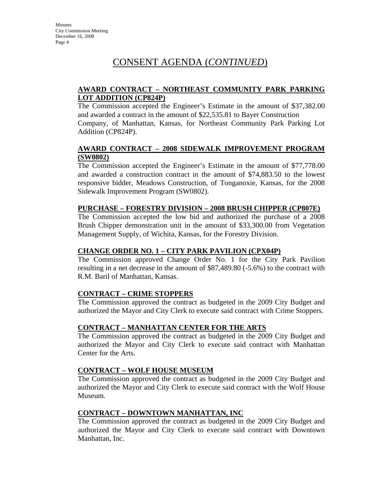# **AWARD CONTRACT – NORTHEAST COMMUNITY PARK PARKING LOT ADDITION (CP824P)**

The Commission accepted the Engineer's Estimate in the amount of \$37,382.00 and awarded a contract in the amount of \$22,535.81 to Bayer Construction Company, of Manhattan, Kansas, for Northeast Community Park Parking Lot Addition (CP824P).

# **AWARD CONTRACT – 2008 SIDEWALK IMPROVEMENT PROGRAM (SW0802)**

The Commission accepted the Engineer's Estimate in the amount of \$77,778.00 and awarded a construction contract in the amount of \$74,883.50 to the lowest responsive bidder, Meadows Construction, of Tonganoxie, Kansas, for the 2008 Sidewalk Improvement Program (SW0802).

# **PURCHASE – FORESTRY DIVISION – 2008 BRUSH CHIPPER (CP807E)**

The Commission accepted the low bid and authorized the purchase of a 2008 Brush Chipper demonstration unit in the amount of \$33,300.00 from Vegetation Management Supply, of Wichita, Kansas, for the Forestry Division.

# **CHANGE ORDER NO. 1 – CITY PARK PAVILION (CPX04P)**

The Commission approved Change Order No. 1 for the City Park Pavilion resulting in a net decrease in the amount of \$87,489.80 (-5.6%) to the contract with R.M. Baril of Manhattan, Kansas.

# **CONTRACT – CRIME STOPPERS**

The Commission approved the contract as budgeted in the 2009 City Budget and authorized the Mayor and City Clerk to execute said contract with Crime Stoppers*.*

# **CONTRACT – MANHATTAN CENTER FOR THE ARTS**

The Commission approved the contract as budgeted in the 2009 City Budget and authorized the Mayor and City Clerk to execute said contract with Manhattan Center for the Arts.

# **CONTRACT – WOLF HOUSE MUSEUM**

The Commission approved the contract as budgeted in the 2009 City Budget and authorized the Mayor and City Clerk to execute said contract with the Wolf House Museum.

# **CONTRACT – DOWNTOWN MANHATTAN, INC**

The Commission approved the contract as budgeted in the 2009 City Budget and authorized the Mayor and City Clerk to execute said contract with Downtown Manhattan, Inc.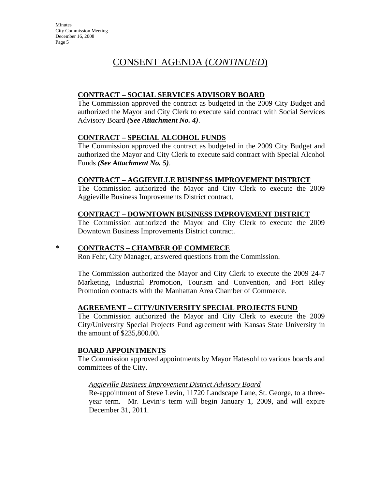# **CONTRACT – SOCIAL SERVICES ADVISORY BOARD**

The Commission approved the contract as budgeted in the 2009 City Budget and authorized the Mayor and City Clerk to execute said contract with Social Services Advisory Board *(See Attachment No. 4)*.

# **CONTRACT – SPECIAL ALCOHOL FUNDS**

The Commission approved the contract as budgeted in the 2009 City Budget and authorized the Mayor and City Clerk to execute said contract with Special Alcohol Funds *(See Attachment No. 5)*.

# **CONTRACT – AGGIEVILLE BUSINESS IMPROVEMENT DISTRICT**

The Commission authorized the Mayor and City Clerk to execute the 2009 Aggieville Business Improvements District contract.

# **CONTRACT – DOWNTOWN BUSINESS IMPROVEMENT DISTRICT**

The Commission authorized the Mayor and City Clerk to execute the 2009 Downtown Business Improvements District contract.

# **\* CONTRACTS – CHAMBER OF COMMERCE**

Ron Fehr, City Manager, answered questions from the Commission.

The Commission authorized the Mayor and City Clerk to execute the 2009 24-7 Marketing, Industrial Promotion, Tourism and Convention, and Fort Riley Promotion contracts with the Manhattan Area Chamber of Commerce.

# **AGREEMENT – CITY/UNIVERSITY SPECIAL PROJECTS FUND**

The Commission authorized the Mayor and City Clerk to execute the 2009 City/University Special Projects Fund agreement with Kansas State University in the amount of \$235,800.00.

# **BOARD APPOINTMENTS**

The Commission approved appointments by Mayor Hatesohl to various boards and committees of the City.

# *Aggieville Business Improvement District Advisory Board*

Re-appointment of Steve Levin, 11720 Landscape Lane, St. George, to a threeyear term. Mr. Levin's term will begin January 1, 2009, and will expire December 31, 2011.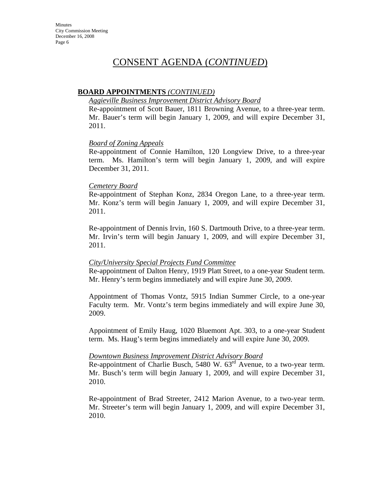### **BOARD APPOINTMENTS** *(CONTINUED)*

#### *Aggieville Business Improvement District Advisory Board*

Re-appointment of Scott Bauer, 1811 Browning Avenue, to a three-year term. Mr. Bauer's term will begin January 1, 2009, and will expire December 31, 2011.

#### *Board of Zoning Appeals*

Re-appointment of Connie Hamilton, 120 Longview Drive, to a three-year term. Ms. Hamilton's term will begin January 1, 2009, and will expire December 31, 2011.

#### *Cemetery Board*

Re-appointment of Stephan Konz, 2834 Oregon Lane, to a three-year term. Mr. Konz's term will begin January 1, 2009, and will expire December 31, 2011.

Re-appointment of Dennis Irvin, 160 S. Dartmouth Drive, to a three-year term. Mr. Irvin's term will begin January 1, 2009, and will expire December 31, 2011.

#### *City/University Special Projects Fund Committee*

Re-appointment of Dalton Henry, 1919 Platt Street, to a one-year Student term. Mr. Henry's term begins immediately and will expire June 30, 2009.

Appointment of Thomas Vontz, 5915 Indian Summer Circle, to a one-year Faculty term. Mr. Vontz's term begins immediately and will expire June 30, 2009.

Appointment of Emily Haug, 1020 Bluemont Apt. 303, to a one-year Student term. Ms. Haug's term begins immediately and will expire June 30, 2009.

#### *Downtown Business Improvement District Advisory Board*

Re-appointment of Charlie Busch, 5480 W. 63<sup>rd</sup> Avenue, to a two-year term. Mr. Busch's term will begin January 1, 2009, and will expire December 31, 2010.

Re-appointment of Brad Streeter, 2412 Marion Avenue, to a two-year term. Mr. Streeter's term will begin January 1, 2009, and will expire December 31, 2010.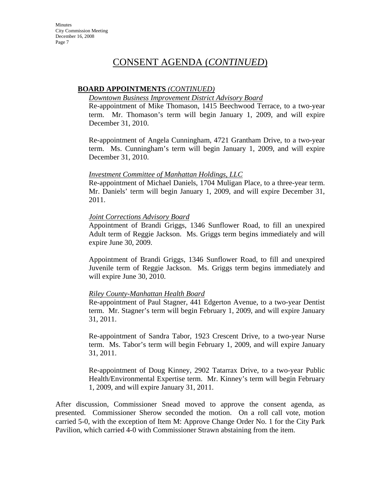## **BOARD APPOINTMENTS** *(CONTINUED)*

#### *Downtown Business Improvement District Advisory Board*

Re-appointment of Mike Thomason, 1415 Beechwood Terrace, to a two-year term. Mr. Thomason's term will begin January 1, 2009, and will expire December 31, 2010.

Re-appointment of Angela Cunningham, 4721 Grantham Drive, to a two-year term. Ms. Cunningham's term will begin January 1, 2009, and will expire December 31, 2010.

#### *Investment Committee of Manhattan Holdings, LLC*

Re-appointment of Michael Daniels, 1704 Muligan Place, to a three-year term. Mr. Daniels' term will begin January 1, 2009, and will expire December 31, 2011.

#### *Joint Corrections Advisory Board*

Appointment of Brandi Griggs, 1346 Sunflower Road, to fill an unexpired Adult term of Reggie Jackson. Ms. Griggs term begins immediately and will expire June 30, 2009.

Appointment of Brandi Griggs, 1346 Sunflower Road, to fill and unexpired Juvenile term of Reggie Jackson. Ms. Griggs term begins immediately and will expire June 30, 2010.

# *Riley County-Manhattan Health Board*

Re-appointment of Paul Stagner, 441 Edgerton Avenue, to a two-year Dentist term. Mr. Stagner's term will begin February 1, 2009, and will expire January 31, 2011.

Re-appointment of Sandra Tabor, 1923 Crescent Drive, to a two-year Nurse term. Ms. Tabor's term will begin February 1, 2009, and will expire January 31, 2011.

Re-appointment of Doug Kinney, 2902 Tatarrax Drive, to a two-year Public Health/Environmental Expertise term. Mr. Kinney's term will begin February 1, 2009, and will expire January 31, 2011.

After discussion, Commissioner Snead moved to approve the consent agenda, as presented. Commissioner Sherow seconded the motion. On a roll call vote, motion carried 5-0, with the exception of Item M: Approve Change Order No. 1 for the City Park Pavilion, which carried 4-0 with Commissioner Strawn abstaining from the item.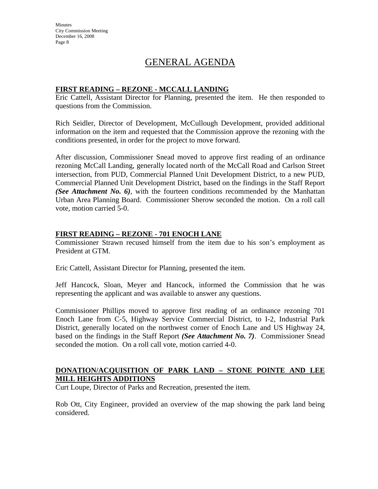**Minutes** City Commission Meeting December 16, 2008 Page 8

# GENERAL AGENDA

### **FIRST READING – REZONE - MCCALL LANDING**

Eric Cattell, Assistant Director for Planning, presented the item. He then responded to questions from the Commission.

Rich Seidler, Director of Development, McCullough Development, provided additional information on the item and requested that the Commission approve the rezoning with the conditions presented, in order for the project to move forward.

After discussion, Commissioner Snead moved to approve first reading of an ordinance rezoning McCall Landing, generally located north of the McCall Road and Carlson Street intersection, from PUD, Commercial Planned Unit Development District, to a new PUD, Commercial Planned Unit Development District, based on the findings in the Staff Report *(See Attachment No. 6)*, with the fourteen conditions recommended by the Manhattan Urban Area Planning Board. Commissioner Sherow seconded the motion. On a roll call vote, motion carried 5-0.

### **FIRST READING – REZONE - 701 ENOCH LANE**

Commissioner Strawn recused himself from the item due to his son's employment as President at GTM.

Eric Cattell, Assistant Director for Planning, presented the item.

Jeff Hancock, Sloan, Meyer and Hancock, informed the Commission that he was representing the applicant and was available to answer any questions.

Commissioner Phillips moved to approve first reading of an ordinance rezoning 701 Enoch Lane from C-5, Highway Service Commercial District, to I-2, Industrial Park District, generally located on the northwest corner of Enoch Lane and US Highway 24, based on the findings in the Staff Report *(See Attachment No. 7)*. Commissioner Snead seconded the motion. On a roll call vote, motion carried 4-0.

# **DONATION/ACQUISITION OF PARK LAND – STONE POINTE AND LEE MILL HEIGHTS ADDITIONS**

Curt Loupe, Director of Parks and Recreation, presented the item.

Rob Ott, City Engineer, provided an overview of the map showing the park land being considered.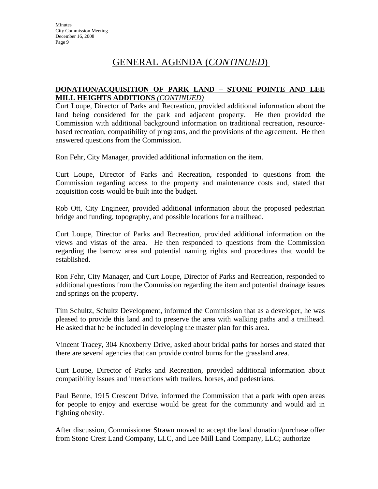# GENERAL AGENDA (*CONTINUED*)

# **DONATION/ACQUISITION OF PARK LAND – STONE POINTE AND LEE MILL HEIGHTS ADDITIONS** *(CONTINUED)*

Curt Loupe, Director of Parks and Recreation, provided additional information about the land being considered for the park and adjacent property. He then provided the Commission with additional background information on traditional recreation, resourcebased recreation, compatibility of programs, and the provisions of the agreement. He then answered questions from the Commission.

Ron Fehr, City Manager, provided additional information on the item.

Curt Loupe, Director of Parks and Recreation, responded to questions from the Commission regarding access to the property and maintenance costs and, stated that acquisition costs would be built into the budget.

Rob Ott, City Engineer, provided additional information about the proposed pedestrian bridge and funding, topography, and possible locations for a trailhead.

Curt Loupe, Director of Parks and Recreation, provided additional information on the views and vistas of the area. He then responded to questions from the Commission regarding the barrow area and potential naming rights and procedures that would be established.

Ron Fehr, City Manager, and Curt Loupe, Director of Parks and Recreation, responded to additional questions from the Commission regarding the item and potential drainage issues and springs on the property.

Tim Schultz, Schultz Development, informed the Commission that as a developer, he was pleased to provide this land and to preserve the area with walking paths and a trailhead. He asked that he be included in developing the master plan for this area.

Vincent Tracey, 304 Knoxberry Drive, asked about bridal paths for horses and stated that there are several agencies that can provide control burns for the grassland area.

Curt Loupe, Director of Parks and Recreation, provided additional information about compatibility issues and interactions with trailers, horses, and pedestrians.

Paul Benne, 1915 Crescent Drive, informed the Commission that a park with open areas for people to enjoy and exercise would be great for the community and would aid in fighting obesity.

After discussion, Commissioner Strawn moved to accept the land donation/purchase offer from Stone Crest Land Company, LLC, and Lee Mill Land Company, LLC; authorize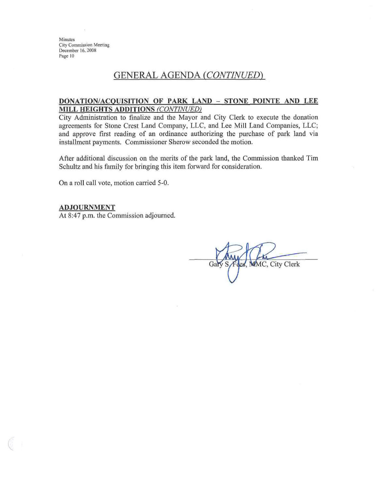**Minutes** City Commission Meeting December 16, 2008 Page 10

# **GENERAL AGENDA (CONTINUED)**

#### DONATION/ACQUISITION OF PARK LAND - STONE POINTE AND LEE MILL HEIGHTS ADDITIONS (CONTINUED)

City Administration to finalize and the Mayor and City Clerk to execute the donation agreements for Stone Crest Land Company, LLC, and Lee Mill Land Companies, LLC; and approve first reading of an ordinance authorizing the purchase of park land via installment payments. Commissioner Sherow seconded the motion.

After additional discussion on the merits of the park land, the Commission thanked Tim Schultz and his family for bringing this item forward for consideration.

On a roll call vote, motion carried 5-0.

#### **ADJOURNMENT**

At 8:47 p.m. the Commission adjourned.

Gar des, MMC, City Clerk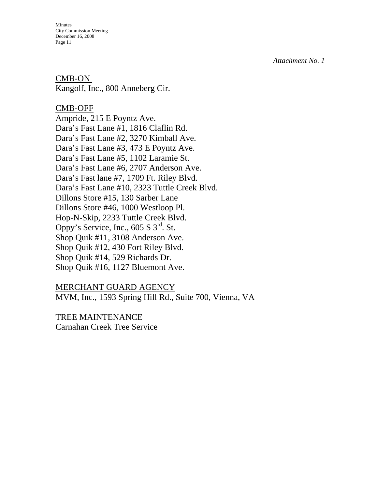Minutes City Commission Meeting December 16, 2008 Page 11

CMB-ON Kangolf, Inc., 800 Anneberg Cir.

# CMB-OFF

Ampride, 215 E Poyntz Ave. Dara's Fast Lane #1, 1816 Claflin Rd. Dara's Fast Lane #2, 3270 Kimball Ave. Dara's Fast Lane #3, 473 E Poyntz Ave. Dara's Fast Lane #5, 1102 Laramie St. Dara's Fast Lane #6, 2707 Anderson Ave. Dara's Fast lane #7, 1709 Ft. Riley Blvd. Dara's Fast Lane #10, 2323 Tuttle Creek Blvd. Dillons Store #15, 130 Sarber Lane Dillons Store #46, 1000 Westloop Pl. Hop-N-Skip, 2233 Tuttle Creek Blvd. Oppy's Service, Inc.,  $605 S 3^{rd}$ . St. Shop Quik #11, 3108 Anderson Ave. Shop Quik #12, 430 Fort Riley Blvd. Shop Quik #14, 529 Richards Dr. Shop Quik #16, 1127 Bluemont Ave.

# MERCHANT GUARD AGENCY

MVM, Inc., 1593 Spring Hill Rd., Suite 700, Vienna, VA

TREE MAINTENANCE

Carnahan Creek Tree Service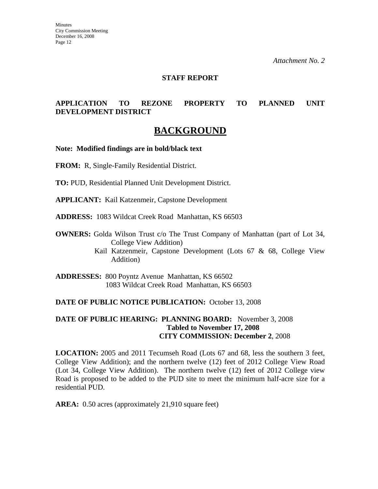### **STAFF REPORT**

# **APPLICATION TO REZONE PROPERTY TO PLANNED UNIT DEVELOPMENT DISTRICT**

# **BACKGROUND**

**Note: Modified findings are in bold/black text** 

**FROM:** R, Single-Family Residential District.

**TO:** PUD, Residential Planned Unit Development District.

**APPLICANT:** Kail Katzenmeir, Capstone Development

**ADDRESS:** 1083 Wildcat Creek Road Manhattan, KS 66503

**OWNERS:** Golda Wilson Trust c/o The Trust Company of Manhattan (part of Lot 34, College View Addition)

> Kail Katzenmeir, Capstone Development (Lots 67 & 68, College View Addition)

**ADDRESSES:** 800 Poyntz Avenue Manhattan, KS 66502 1083 Wildcat Creek Road Manhattan, KS 66503

#### **DATE OF PUBLIC NOTICE PUBLICATION:** October 13, 2008

### **DATE OF PUBLIC HEARING: PLANNING BOARD:** November 3, 2008 **Tabled to November 17, 2008 CITY COMMISSION: December 2**, 2008

**LOCATION:** 2005 and 2011 Tecumseh Road (Lots 67 and 68, less the southern 3 feet, College View Addition); and the northern twelve (12) feet of 2012 College View Road (Lot 34, College View Addition). The northern twelve (12) feet of 2012 College view Road is proposed to be added to the PUD site to meet the minimum half-acre size for a residential PUD.

**AREA:** 0.50 acres (approximately 21,910 square feet)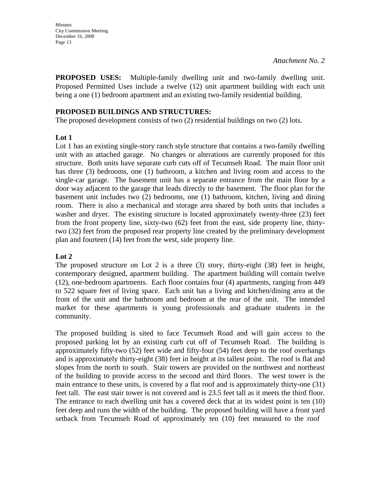**PROPOSED USES:** Multiple-family dwelling unit and two-family dwelling unit. Proposed Permitted Uses include a twelve (12) unit apartment building with each unit being a one (1) bedroom apartment and an existing two-family residential building.

## **PROPOSED BUILDINGS AND STRUCTURES:**

The proposed development consists of two (2) residential buildings on two (2) lots.

# **Lot 1**

Lot 1 has an existing single-story ranch style structure that contains a two-family dwelling unit with an attached garage. No changes or alterations are currently proposed for this structure. Both units have separate curb cuts off of Tecumseh Road. The main floor unit has three (3) bedrooms, one (1) bathroom, a kitchen and living room and access to the single-car garage. The basement unit has a separate entrance from the main floor by a door way adjacent to the garage that leads directly to the basement. The floor plan for the basement unit includes two (2) bedrooms, one (1) bathroom, kitchen, living and dining room. There is also a mechanical and storage area shared by both units that includes a washer and dryer. The existing structure is located approximately twenty-three  $(23)$  feet from the front property line, sixty-two (62) feet from the east, side property line, thirtytwo (32) feet from the proposed rear property line created by the preliminary development plan and fourteen (14) feet from the west, side property line.

# **Lot 2**

The proposed structure on Lot 2 is a three (3) story, thirty-eight (38) feet in height, contemporary designed, apartment building. The apartment building will contain twelve (12), one-bedroom apartments. Each floor contains four (4) apartments, ranging from 449 to 522 square feet of living space. Each unit has a living and kitchen/dining area at the front of the unit and the bathroom and bedroom at the rear of the unit. The intended market for these apartments is young professionals and graduate students in the community.

The proposed building is sited to face Tecumseh Road and will gain access to the proposed parking lot by an existing curb cut off of Tecumseh Road. The building is approximately fifty-two (52) feet wide and fifty-four (54) feet deep to the roof overhangs and is approximately thirty-eight (38) feet in height at its tallest point. The roof is flat and slopes from the north to south. Stair towers are provided on the northwest and northeast of the building to provide access to the second and third floors. The west tower is the main entrance to these units, is covered by a flat roof and is approximately thirty-one (31) feet tall. The east stair tower is not covered and is 23.5 feet tall as it meets the third floor. The entrance to each dwelling unit has a covered deck that at its widest point is ten (10) feet deep and runs the width of the building. The proposed building will have a front yard setback from Tecumseh Road of approximately ten (10) feet measured to the roof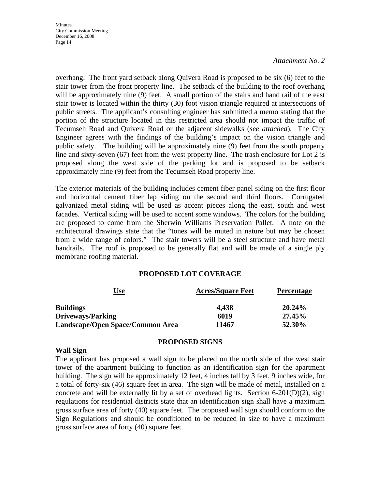**Minutes** City Commission Meeting December 16, 2008 Page 14

#### *Attachment No. 2*

overhang. The front yard setback along Quivera Road is proposed to be six (6) feet to the stair tower from the front property line. The setback of the building to the roof overhang will be approximately nine (9) feet. A small portion of the stairs and hand rail of the east stair tower is located within the thirty (30) foot vision triangle required at intersections of public streets. The applicant's consulting engineer has submitted a memo stating that the portion of the structure located in this restricted area should not impact the traffic of Tecumseh Road and Quivera Road or the adjacent sidewalks (*see attached*). The City Engineer agrees with the findings of the building's impact on the vision triangle and public safety. The building will be approximately nine (9) feet from the south property line and sixty-seven (67) feet from the west property line. The trash enclosure for Lot 2 is proposed along the west side of the parking lot and is proposed to be setback approximately nine (9) feet from the Tecumseh Road property line.

The exterior materials of the building includes cement fiber panel siding on the first floor and horizontal cement fiber lap siding on the second and third floors. Corrugated galvanized metal siding will be used as accent pieces along the east, south and west facades. Vertical siding will be used to accent some windows. The colors for the building are proposed to come from the Sherwin Williams Preservation Pallet. A note on the architectural drawings state that the "tones will be muted in nature but may be chosen from a wide range of colors." The stair towers will be a steel structure and have metal handrails. The roof is proposed to be generally flat and will be made of a single ply membrane roofing material.

#### **PROPOSED LOT COVERAGE**

| <u>Use</u>                       | <b>Acres/Square Feet</b> | <b>Percentage</b> |
|----------------------------------|--------------------------|-------------------|
| <b>Buildings</b>                 | 4,438                    | 20.24%            |
| <b>Driveways/Parking</b>         | 6019                     | 27.45%            |
| Landscape/Open Space/Common Area | 11467                    | 52.30%            |

#### **PROPOSED SIGNS**

#### **Wall Sign**

The applicant has proposed a wall sign to be placed on the north side of the west stair tower of the apartment building to function as an identification sign for the apartment building. The sign will be approximately 12 feet, 4 inches tall by 3 feet, 9 inches wide, for a total of forty-six (46) square feet in area. The sign will be made of metal, installed on a concrete and will be externally lit by a set of overhead lights. Section 6-201(D)(2), sign regulations for residential districts state that an identification sign shall have a maximum gross surface area of forty (40) square feet. The proposed wall sign should conform to the Sign Regulations and should be conditioned to be reduced in size to have a maximum gross surface area of forty (40) square feet.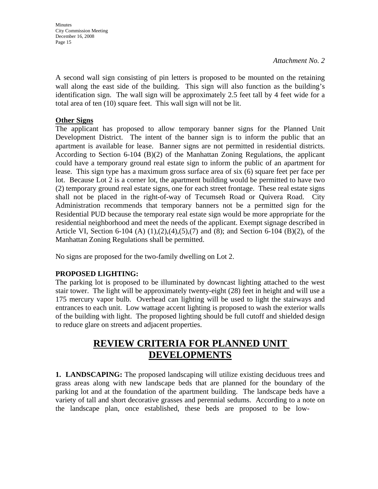A second wall sign consisting of pin letters is proposed to be mounted on the retaining wall along the east side of the building. This sign will also function as the building's identification sign. The wall sign will be approximately 2.5 feet tall by 4 feet wide for a total area of ten (10) square feet. This wall sign will not be lit.

# **Other Signs**

The applicant has proposed to allow temporary banner signs for the Planned Unit Development District. The intent of the banner sign is to inform the public that an apartment is available for lease. Banner signs are not permitted in residential districts. According to Section 6-104 (B)(2) of the Manhattan Zoning Regulations, the applicant could have a temporary ground real estate sign to inform the public of an apartment for lease. This sign type has a maximum gross surface area of six (6) square feet per face per lot. Because Lot 2 is a corner lot, the apartment building would be permitted to have two (2) temporary ground real estate signs, one for each street frontage. These real estate signs shall not be placed in the right-of-way of Tecumseh Road or Quivera Road. City Administration recommends that temporary banners not be a permitted sign for the Residential PUD because the temporary real estate sign would be more appropriate for the residential neighborhood and meet the needs of the applicant. Exempt signage described in Article VI, Section 6-104 (A) (1),(2),(4),(5),(7) and (8); and Section 6-104 (B)(2), of the Manhattan Zoning Regulations shall be permitted.

No signs are proposed for the two-family dwelling on Lot 2.

# **PROPOSED LIGHTING:**

The parking lot is proposed to be illuminated by downcast lighting attached to the west stair tower. The light will be approximately twenty-eight (28) feet in height and will use a 175 mercury vapor bulb. Overhead can lighting will be used to light the stairways and entrances to each unit. Low wattage accent lighting is proposed to wash the exterior walls of the building with light. The proposed lighting should be full cutoff and shielded design to reduce glare on streets and adjacent properties.

# **REVIEW CRITERIA FOR PLANNED UNIT DEVELOPMENTS**

**1. LANDSCAPING:** The proposed landscaping will utilize existing deciduous trees and grass areas along with new landscape beds that are planned for the boundary of the parking lot and at the foundation of the apartment building. The landscape beds have a variety of tall and short decorative grasses and perennial sedums. According to a note on the landscape plan, once established, these beds are proposed to be low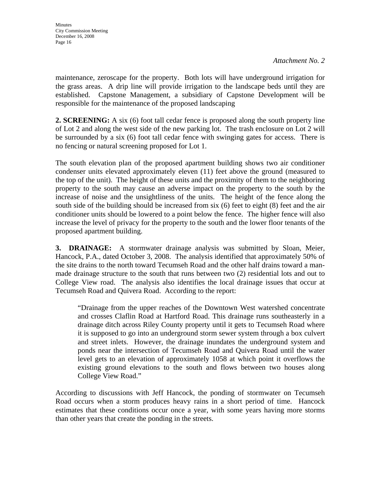maintenance, zeroscape for the property. Both lots will have underground irrigation for the grass areas. A drip line will provide irrigation to the landscape beds until they are established. Capstone Management, a subsidiary of Capstone Development will be responsible for the maintenance of the proposed landscaping

**2. SCREENING:** A six (6) foot tall cedar fence is proposed along the south property line of Lot 2 and along the west side of the new parking lot. The trash enclosure on Lot 2 will be surrounded by a six (6) foot tall cedar fence with swinging gates for access. There is no fencing or natural screening proposed for Lot 1.

The south elevation plan of the proposed apartment building shows two air conditioner condenser units elevated approximately eleven (11) feet above the ground (measured to the top of the unit). The height of these units and the proximity of them to the neighboring property to the south may cause an adverse impact on the property to the south by the increase of noise and the unsightliness of the units. The height of the fence along the south side of the building should be increased from six (6) feet to eight (8) feet and the air conditioner units should be lowered to a point below the fence. The higher fence will also increase the level of privacy for the property to the south and the lower floor tenants of the proposed apartment building.

**3. DRAINAGE:** A stormwater drainage analysis was submitted by Sloan, Meier, Hancock, P.A., dated October 3, 2008. The analysis identified that approximately 50% of the site drains to the north toward Tecumseh Road and the other half drains toward a manmade drainage structure to the south that runs between two (2) residential lots and out to College View road. The analysis also identifies the local drainage issues that occur at Tecumseh Road and Quivera Road. According to the report:

"Drainage from the upper reaches of the Downtown West watershed concentrate and crosses Claflin Road at Hartford Road. This drainage runs southeasterly in a drainage ditch across Riley County property until it gets to Tecumseh Road where it is supposed to go into an underground storm sewer system through a box culvert and street inlets. However, the drainage inundates the underground system and ponds near the intersection of Tecumseh Road and Quivera Road until the water level gets to an elevation of approximately 1058 at which point it overflows the existing ground elevations to the south and flows between two houses along College View Road."

According to discussions with Jeff Hancock, the ponding of stormwater on Tecumseh Road occurs when a storm produces heavy rains in a short period of time. Hancock estimates that these conditions occur once a year, with some years having more storms than other years that create the ponding in the streets.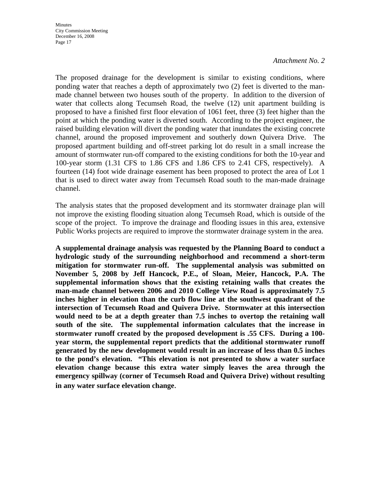The proposed drainage for the development is similar to existing conditions, where ponding water that reaches a depth of approximately two (2) feet is diverted to the manmade channel between two houses south of the property. In addition to the diversion of water that collects along Tecumseh Road, the twelve (12) unit apartment building is proposed to have a finished first floor elevation of 1061 feet, three (3) feet higher than the point at which the ponding water is diverted south. According to the project engineer, the raised building elevation will divert the ponding water that inundates the existing concrete channel, around the proposed improvement and southerly down Quivera Drive. The proposed apartment building and off-street parking lot do result in a small increase the amount of stormwater run-off compared to the existing conditions for both the 10-year and 100-year storm (1.31 CFS to 1.86 CFS and 1.86 CFS to 2.41 CFS, respectively). A fourteen (14) foot wide drainage easement has been proposed to protect the area of Lot 1 that is used to direct water away from Tecumseh Road south to the man-made drainage channel.

The analysis states that the proposed development and its stormwater drainage plan will not improve the existing flooding situation along Tecumseh Road, which is outside of the scope of the project. To improve the drainage and flooding issues in this area, extensive Public Works projects are required to improve the stormwater drainage system in the area.

**A supplemental drainage analysis was requested by the Planning Board to conduct a hydrologic study of the surrounding neighborhood and recommend a short-term mitigation for stormwater run-off. The supplemental analysis was submitted on November 5, 2008 by Jeff Hancock, P.E., of Sloan, Meier, Hancock, P.A. The supplemental information shows that the existing retaining walls that creates the man-made channel between 2006 and 2010 College View Road is approximately 7.5 inches higher in elevation than the curb flow line at the southwest quadrant of the intersection of Tecumseh Road and Quivera Drive. Stormwater at this intersection would need to be at a depth greater than 7.5 inches to overtop the retaining wall south of the site. The supplemental information calculates that the increase in stormwater runoff created by the proposed development is .55 CFS. During a 100 year storm, the supplemental report predicts that the additional stormwater runoff generated by the new development would result in an increase of less than 0.5 inches to the pond's elevation. "This elevation is not presented to show a water surface elevation change because this extra water simply leaves the area through the emergency spillway (corner of Tecumseh Road and Quivera Drive) without resulting in any water surface elevation change**.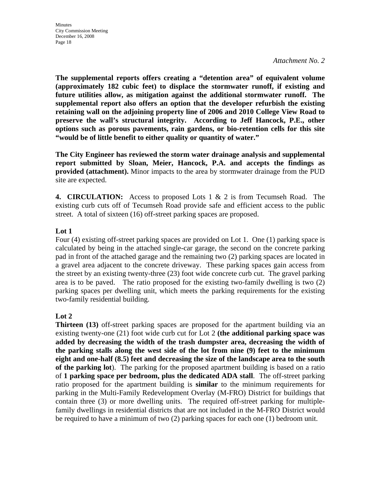**The supplemental reports offers creating a "detention area" of equivalent volume (approximately 182 cubic feet) to displace the stormwater runoff, if existing and future utilities allow, as mitigation against the additional stormwater runoff. The supplemental report also offers an option that the developer refurbish the existing retaining wall on the adjoining property line of 2006 and 2010 College View Road to preserve the wall's structural integrity. According to Jeff Hancock, P.E., other options such as porous pavements, rain gardens, or bio-retention cells for this site "would be of little benefit to either quality or quantity of water."**

**The City Engineer has reviewed the storm water drainage analysis and supplemental report submitted by Sloan, Meier, Hancock, P.A. and accepts the findings as provided (attachment).** Minor impacts to the area by stormwater drainage from the PUD site are expected.

**4. CIRCULATION:** Access to proposed Lots 1 & 2 is from Tecumseh Road. The existing curb cuts off of Tecumseh Road provide safe and efficient access to the public street. A total of sixteen (16) off-street parking spaces are proposed.

# **Lot 1**

Four (4) existing off-street parking spaces are provided on Lot 1. One (1) parking space is calculated by being in the attached single-car garage, the second on the concrete parking pad in front of the attached garage and the remaining two (2) parking spaces are located in a gravel area adjacent to the concrete driveway. These parking spaces gain access from the street by an existing twenty-three (23) foot wide concrete curb cut. The gravel parking area is to be paved. The ratio proposed for the existing two-family dwelling is two (2) parking spaces per dwelling unit, which meets the parking requirements for the existing two-family residential building.

# **Lot 2**

**Thirteen (13)** off-street parking spaces are proposed for the apartment building via an existing twenty-one (21) foot wide curb cut for Lot 2 **(the additional parking space was added by decreasing the width of the trash dumpster area, decreasing the width of the parking stalls along the west side of the lot from nine (9) feet to the minimum eight and one-half (8.5) feet and decreasing the size of the landscape area to the south of the parking lot**). The parking for the proposed apartment building is based on a ratio of **1 parking space per bedroom, plus the dedicated ADA stall**. The off-street parking ratio proposed for the apartment building is **similar** to the minimum requirements for parking in the Multi-Family Redevelopment Overlay (M-FRO) District for buildings that contain three (3) or more dwelling units. The required off-street parking for multiplefamily dwellings in residential districts that are not included in the M-FRO District would be required to have a minimum of two (2) parking spaces for each one (1) bedroom unit.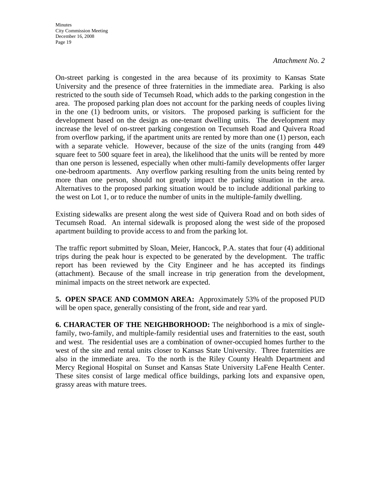On-street parking is congested in the area because of its proximity to Kansas State University and the presence of three fraternities in the immediate area. Parking is also restricted to the south side of Tecumseh Road, which adds to the parking congestion in the area. The proposed parking plan does not account for the parking needs of couples living in the one (1) bedroom units, or visitors. The proposed parking is sufficient for the development based on the design as one-tenant dwelling units. The development may increase the level of on-street parking congestion on Tecumseh Road and Quivera Road from overflow parking, if the apartment units are rented by more than one (1) person, each with a separate vehicle. However, because of the size of the units (ranging from 449 square feet to 500 square feet in area), the likelihood that the units will be rented by more than one person is lessened, especially when other multi-family developments offer larger one-bedroom apartments. Any overflow parking resulting from the units being rented by more than one person, should not greatly impact the parking situation in the area. Alternatives to the proposed parking situation would be to include additional parking to the west on Lot 1, or to reduce the number of units in the multiple-family dwelling.

Existing sidewalks are present along the west side of Quivera Road and on both sides of Tecumseh Road. An internal sidewalk is proposed along the west side of the proposed apartment building to provide access to and from the parking lot.

The traffic report submitted by Sloan, Meier, Hancock, P.A. states that four (4) additional trips during the peak hour is expected to be generated by the development. The traffic report has been reviewed by the City Engineer and he has accepted its findings (attachment). Because of the small increase in trip generation from the development, minimal impacts on the street network are expected.

**5. OPEN SPACE AND COMMON AREA:** Approximately 53% of the proposed PUD will be open space, generally consisting of the front, side and rear yard.

**6. CHARACTER OF THE NEIGHBORHOOD:** The neighborhood is a mix of singlefamily, two-family, and multiple-family residential uses and fraternities to the east, south and west. The residential uses are a combination of owner-occupied homes further to the west of the site and rental units closer to Kansas State University. Three fraternities are also in the immediate area. To the north is the Riley County Health Department and Mercy Regional Hospital on Sunset and Kansas State University LaFene Health Center. These sites consist of large medical office buildings, parking lots and expansive open, grassy areas with mature trees.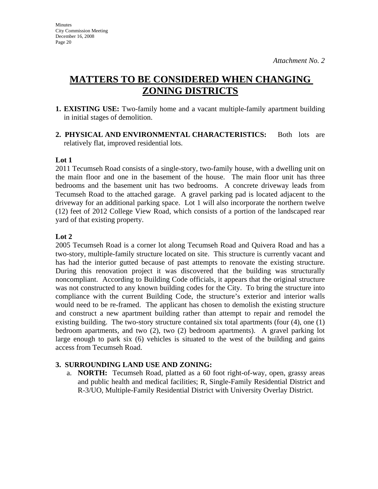# **MATTERS TO BE CONSIDERED WHEN CHANGING ZONING DISTRICTS**

- **1. EXISTING USE:** Two-family home and a vacant multiple-family apartment building in initial stages of demolition.
- **2. PHYSICAL AND ENVIRONMENTAL CHARACTERISTICS:** Both lots are relatively flat, improved residential lots.

# **Lot 1**

2011 Tecumseh Road consists of a single-story, two-family house, with a dwelling unit on the main floor and one in the basement of the house. The main floor unit has three bedrooms and the basement unit has two bedrooms. A concrete driveway leads from Tecumseh Road to the attached garage. A gravel parking pad is located adjacent to the driveway for an additional parking space. Lot 1 will also incorporate the northern twelve (12) feet of 2012 College View Road, which consists of a portion of the landscaped rear yard of that existing property.

### **Lot 2**

2005 Tecumseh Road is a corner lot along Tecumseh Road and Quivera Road and has a two-story, multiple-family structure located on site. This structure is currently vacant and has had the interior gutted because of past attempts to renovate the existing structure. During this renovation project it was discovered that the building was structurally noncompliant. According to Building Code officials, it appears that the original structure was not constructed to any known building codes for the City. To bring the structure into compliance with the current Building Code, the structure's exterior and interior walls would need to be re-framed. The applicant has chosen to demolish the existing structure and construct a new apartment building rather than attempt to repair and remodel the existing building. The two-story structure contained six total apartments (four (4), one (1) bedroom apartments, and two (2), two (2) bedroom apartments). A gravel parking lot large enough to park six (6) vehicles is situated to the west of the building and gains access from Tecumseh Road.

# **3. SURROUNDING LAND USE AND ZONING:**

a. **NORTH:** Tecumseh Road, platted as a 60 foot right-of-way, open, grassy areas and public health and medical facilities; R, Single-Family Residential District and R-3/UO, Multiple-Family Residential District with University Overlay District.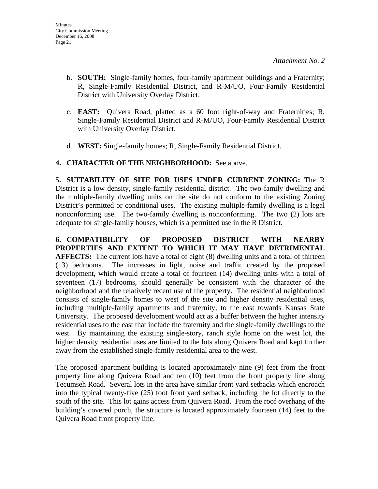- b. **SOUTH:** Single-family homes, four-family apartment buildings and a Fraternity; R, Single-Family Residential District, and R-M/UO, Four-Family Residential District with University Overlay District.
- c. **EAST:** Quivera Road, platted as a 60 foot right-of-way and Fraternities; R, Single-Family Residential District and R-M/UO, Four-Family Residential District with University Overlay District.
- d. **WEST:** Single-family homes; R, Single-Family Residential District.
- **4. CHARACTER OF THE NEIGHBORHOOD:** See above.

**5. SUITABILITY OF SITE FOR USES UNDER CURRENT ZONING:** The R District is a low density, single-family residential district. The two-family dwelling and the multiple-family dwelling units on the site do not conform to the existing Zoning District's permitted or conditional uses. The existing multiple-family dwelling is a legal nonconforming use. The two-family dwelling is nonconforming. The two (2) lots are adequate for single-family houses, which is a permitted use in the R District.

**6. COMPATIBILITY OF PROPOSED DISTRICT WITH NEARBY PROPERTIES AND EXTENT TO WHICH IT MAY HAVE DETRIMENTAL AFFECTS:** The current lots have a total of eight (8) dwelling units and a total of thirteen (13) bedrooms. The increases in light, noise and traffic created by the proposed development, which would create a total of fourteen (14) dwelling units with a total of seventeen (17) bedrooms, should generally be consistent with the character of the neighborhood and the relatively recent use of the property. The residential neighborhood consists of single-family homes to west of the site and higher density residential uses, including multiple-family apartments and fraternity, to the east towards Kansas State University. The proposed development would act as a buffer between the higher intensity residential uses to the east that include the fraternity and the single-family dwellings to the west. By maintaining the existing single-story, ranch style home on the west lot, the higher density residential uses are limited to the lots along Quivera Road and kept further away from the established single-family residential area to the west.

The proposed apartment building is located approximately nine (9) feet from the front property line along Quivera Road and ten (10) feet from the front property line along Tecumseh Road. Several lots in the area have similar front yard setbacks which encroach into the typical twenty-five (25) foot front yard setback, including the lot directly to the south of the site. This lot gains access from Quivera Road. From the roof overhang of the building's covered porch, the structure is located approximately fourteen (14) feet to the Quivera Road front property line.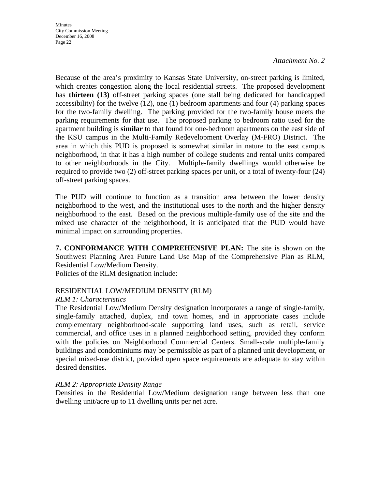**Minutes** City Commission Meeting December 16, 2008 Page 22

#### *Attachment No. 2*

Because of the area's proximity to Kansas State University, on-street parking is limited, which creates congestion along the local residential streets. The proposed development has **thirteen (13)** off-street parking spaces (one stall being dedicated for handicapped accessibility) for the twelve (12), one (1) bedroom apartments and four (4) parking spaces for the two-family dwelling. The parking provided for the two-family house meets the parking requirements for that use. The proposed parking to bedroom ratio used for the apartment building is **similar** to that found for one-bedroom apartments on the east side of the KSU campus in the Multi-Family Redevelopment Overlay (M-FRO) District. The area in which this PUD is proposed is somewhat similar in nature to the east campus neighborhood, in that it has a high number of college students and rental units compared to other neighborhoods in the City. Multiple-family dwellings would otherwise be required to provide two (2) off-street parking spaces per unit, or a total of twenty-four (24) off-street parking spaces.

The PUD will continue to function as a transition area between the lower density neighborhood to the west, and the institutional uses to the north and the higher density neighborhood to the east. Based on the previous multiple-family use of the site and the mixed use character of the neighborhood, it is anticipated that the PUD would have minimal impact on surrounding properties.

**7. CONFORMANCE WITH COMPREHENSIVE PLAN:** The site is shown on the Southwest Planning Area Future Land Use Map of the Comprehensive Plan as RLM, Residential Low/Medium Density.

Policies of the RLM designation include:

#### RESIDENTIAL LOW/MEDIUM DENSITY (RLM)

#### *RLM 1: Characteristics*

The Residential Low/Medium Density designation incorporates a range of single-family, single-family attached, duplex, and town homes, and in appropriate cases include complementary neighborhood-scale supporting land uses, such as retail, service commercial, and office uses in a planned neighborhood setting, provided they conform with the policies on Neighborhood Commercial Centers. Small-scale multiple-family buildings and condominiums may be permissible as part of a planned unit development, or special mixed-use district, provided open space requirements are adequate to stay within desired densities.

#### *RLM 2: Appropriate Density Range*

Densities in the Residential Low/Medium designation range between less than one dwelling unit/acre up to 11 dwelling units per net acre.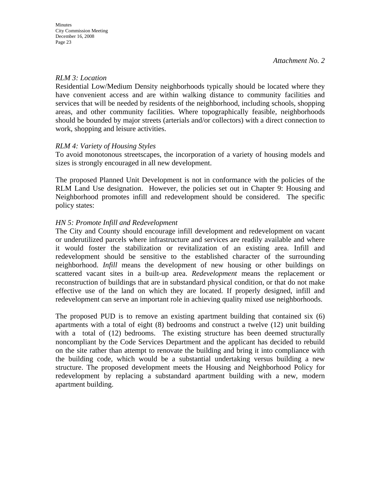## *RLM 3: Location*

Residential Low/Medium Density neighborhoods typically should be located where they have convenient access and are within walking distance to community facilities and services that will be needed by residents of the neighborhood, including schools, shopping areas, and other community facilities. Where topographically feasible, neighborhoods should be bounded by major streets (arterials and/or collectors) with a direct connection to work, shopping and leisure activities.

### *RLM 4: Variety of Housing Styles*

To avoid monotonous streetscapes, the incorporation of a variety of housing models and sizes is strongly encouraged in all new development.

The proposed Planned Unit Development is not in conformance with the policies of the RLM Land Use designation. However, the policies set out in Chapter 9: Housing and Neighborhood promotes infill and redevelopment should be considered. The specific policy states:

### *HN 5: Promote Infill and Redevelopment*

The City and County should encourage infill development and redevelopment on vacant or underutilized parcels where infrastructure and services are readily available and where it would foster the stabilization or revitalization of an existing area. Infill and redevelopment should be sensitive to the established character of the surrounding neighborhood. *Infill* means the development of new housing or other buildings on scattered vacant sites in a built-up area. *Redevelopment* means the replacement or reconstruction of buildings that are in substandard physical condition, or that do not make effective use of the land on which they are located. If properly designed, infill and redevelopment can serve an important role in achieving quality mixed use neighborhoods.

The proposed PUD is to remove an existing apartment building that contained six (6) apartments with a total of eight (8) bedrooms and construct a twelve (12) unit building with a total of (12) bedrooms. The existing structure has been deemed structurally noncompliant by the Code Services Department and the applicant has decided to rebuild on the site rather than attempt to renovate the building and bring it into compliance with the building code, which would be a substantial undertaking versus building a new structure. The proposed development meets the Housing and Neighborhood Policy for redevelopment by replacing a substandard apartment building with a new, modern apartment building.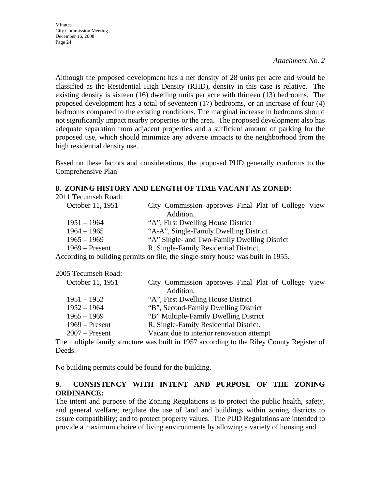Although the proposed development has a net density of 28 units per acre and would be classified as the Residential High Density (RHD), density in this case is relative. The existing density is sixteen (16) dwelling units per acre with thirteen (13) bedrooms. The proposed development has a total of seventeen (17) bedrooms, or an increase of four (4) bedrooms compared to the existing conditions. The marginal increase in bedrooms should not significantly impact nearby properties or the area. The proposed development also has adequate separation from adjacent properties and a sufficient amount of parking for the proposed use, which should minimize any adverse impacts to the neighborhood from the high residential density use.

Based on these factors and considerations, the proposed PUD generally conforms to the Comprehensive Plan

# **8. ZONING HISTORY AND LENGTH OF TIME VACANT AS ZONED:**

| City Commission approves Final Plat of College View                              |
|----------------------------------------------------------------------------------|
| Addition.                                                                        |
| "A", First Dwelling House District                                               |
| "A-A", Single-Family Dwelling District                                           |
| "A" Single- and Two-Family Dwelling District                                     |
| R, Single-Family Residential District.                                           |
| According to building permits on file, the single-story house was built in 1955. |
|                                                                                  |

| 2005 Tecumseh Road: |                                                                  |
|---------------------|------------------------------------------------------------------|
| October 11, 1951    | City Commission approves Final Plat of College View<br>Addition. |
| $1951 - 1952$       | "A", First Dwelling House District                               |
| $1952 - 1964$       | "B", Second-Family Dwelling District                             |
| $1965 - 1969$       | "B" Multiple-Family Dwelling District                            |
| $1969$ – Present    | R, Single-Family Residential District.                           |
| $2007$ – Present    | Vacant due to interior renovation attempt                        |
|                     |                                                                  |

The multiple family structure was built in 1957 according to the Riley County Register of Deeds.

No building permits could be found for the building.

# **9. CONSISTENCY WITH INTENT AND PURPOSE OF THE ZONING ORDINANCE:**

The intent and purpose of the Zoning Regulations is to protect the public health, safety, and general welfare; regulate the use of land and buildings within zoning districts to assure compatibility; and to protect property values. The PUD Regulations are intended to provide a maximum choice of living environments by allowing a variety of housing and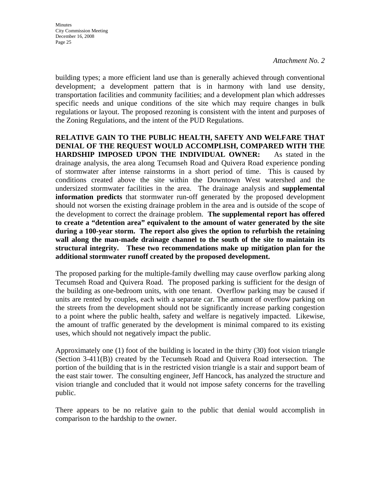building types; a more efficient land use than is generally achieved through conventional development; a development pattern that is in harmony with land use density, transportation facilities and community facilities; and a development plan which addresses specific needs and unique conditions of the site which may require changes in bulk regulations or layout. The proposed rezoning is consistent with the intent and purposes of the Zoning Regulations, and the intent of the PUD Regulations.

**RELATIVE GAIN TO THE PUBLIC HEALTH, SAFETY AND WELFARE THAT DENIAL OF THE REQUEST WOULD ACCOMPLISH, COMPARED WITH THE HARDSHIP IMPOSED UPON THE INDIVIDUAL OWNER:** As stated in the drainage analysis, the area along Tecumseh Road and Quivera Road experience ponding of stormwater after intense rainstorms in a short period of time. This is caused by conditions created above the site within the Downtown West watershed and the undersized stormwater facilities in the area. The drainage analysis and **supplemental information predicts** that stormwater run-off generated by the proposed development should not worsen the existing drainage problem in the area and is outside of the scope of the development to correct the drainage problem. **The supplemental report has offered to create a "detention area" equivalent to the amount of water generated by the site during a 100-year storm. The report also gives the option to refurbish the retaining wall along the man-made drainage channel to the south of the site to maintain its structural integrity. These two recommendations make up mitigation plan for the additional stormwater runoff created by the proposed development.**

The proposed parking for the multiple-family dwelling may cause overflow parking along Tecumseh Road and Quivera Road. The proposed parking is sufficient for the design of the building as one-bedroom units, with one tenant. Overflow parking may be caused if units are rented by couples, each with a separate car. The amount of overflow parking on the streets from the development should not be significantly increase parking congestion to a point where the public health, safety and welfare is negatively impacted. Likewise, the amount of traffic generated by the development is minimal compared to its existing uses, which should not negatively impact the public.

Approximately one (1) foot of the building is located in the thirty (30) foot vision triangle (Section 3-411(B)) created by the Tecumseh Road and Quivera Road intersection. The portion of the building that is in the restricted vision triangle is a stair and support beam of the east stair tower. The consulting engineer, Jeff Hancock, has analyzed the structure and vision triangle and concluded that it would not impose safety concerns for the travelling public.

There appears to be no relative gain to the public that denial would accomplish in comparison to the hardship to the owner.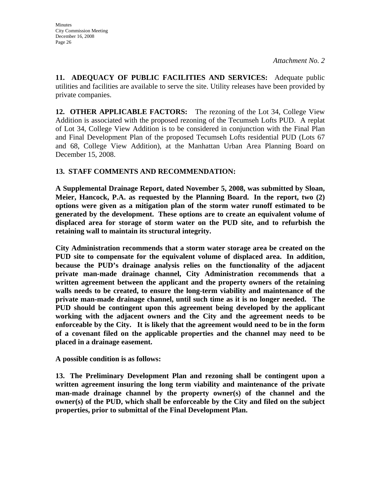**11. ADEQUACY OF PUBLIC FACILITIES AND SERVICES:** Adequate public utilities and facilities are available to serve the site. Utility releases have been provided by private companies.

**12. OTHER APPLICABLE FACTORS:** The rezoning of the Lot 34, College View Addition is associated with the proposed rezoning of the Tecumseh Lofts PUD. A replat of Lot 34, College View Addition is to be considered in conjunction with the Final Plan and Final Development Plan of the proposed Tecumseh Lofts residential PUD (Lots 67 and 68, College View Addition), at the Manhattan Urban Area Planning Board on December 15, 2008.

# **13. STAFF COMMENTS AND RECOMMENDATION:**

**A Supplemental Drainage Report, dated November 5, 2008, was submitted by Sloan, Meier, Hancock, P.A. as requested by the Planning Board. In the report, two (2) options were given as a mitigation plan of the storm water runoff estimated to be generated by the development. These options are to create an equivalent volume of displaced area for storage of storm water on the PUD site, and to refurbish the retaining wall to maintain its structural integrity.** 

**City Administration recommends that a storm water storage area be created on the PUD site to compensate for the equivalent volume of displaced area. In addition, because the PUD's drainage analysis relies on the functionality of the adjacent private man-made drainage channel, City Administration recommends that a written agreement between the applicant and the property owners of the retaining walls needs to be created, to ensure the long-term viability and maintenance of the private man-made drainage channel, until such time as it is no longer needed. The PUD should be contingent upon this agreement being developed by the applicant working with the adjacent owners and the City and the agreement needs to be enforceable by the City. It is likely that the agreement would need to be in the form of a covenant filed on the applicable properties and the channel may need to be placed in a drainage easement.** 

**A possible condition is as follows:** 

**13. The Preliminary Development Plan and rezoning shall be contingent upon a written agreement insuring the long term viability and maintenance of the private man-made drainage channel by the property owner(s) of the channel and the owner(s) of the PUD, which shall be enforceable by the City and filed on the subject properties, prior to submittal of the Final Development Plan.**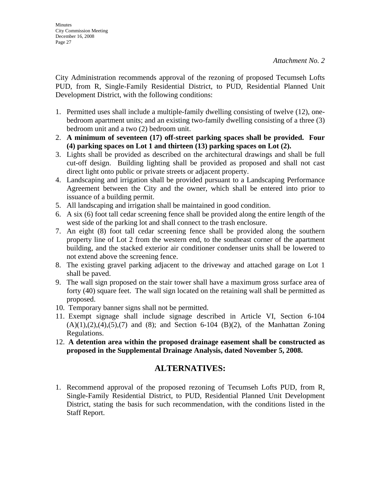City Administration recommends approval of the rezoning of proposed Tecumseh Lofts PUD, from R, Single-Family Residential District, to PUD, Residential Planned Unit Development District, with the following conditions:

- 1. Permitted uses shall include a multiple-family dwelling consisting of twelve (12), onebedroom apartment units; and an existing two-family dwelling consisting of a three (3) bedroom unit and a two (2) bedroom unit.
- 2. **A minimum of seventeen (17) off-street parking spaces shall be provided. Four (4) parking spaces on Lot 1 and thirteen (13) parking spaces on Lot (2).**
- 3. Lights shall be provided as described on the architectural drawings and shall be full cut-off design. Building lighting shall be provided as proposed and shall not cast direct light onto public or private streets or adjacent property.
- 4. Landscaping and irrigation shall be provided pursuant to a Landscaping Performance Agreement between the City and the owner, which shall be entered into prior to issuance of a building permit.
- 5. All landscaping and irrigation shall be maintained in good condition.
- 6. A six (6) foot tall cedar screening fence shall be provided along the entire length of the west side of the parking lot and shall connect to the trash enclosure.
- 7. An eight (8) foot tall cedar screening fence shall be provided along the southern property line of Lot 2 from the western end, to the southeast corner of the apartment building, and the stacked exterior air conditioner condenser units shall be lowered to not extend above the screening fence.
- 8. The existing gravel parking adjacent to the driveway and attached garage on Lot 1 shall be paved.
- 9. The wall sign proposed on the stair tower shall have a maximum gross surface area of forty (40) square feet. The wall sign located on the retaining wall shall be permitted as proposed.
- 10. Temporary banner signs shall not be permitted.
- 11. Exempt signage shall include signage described in Article VI, Section 6-104  $(A)(1),(2),(4),(5),(7)$  and  $(8)$ ; and Section 6-104  $(B)(2)$ , of the Manhattan Zoning Regulations.
- 12. **A detention area within the proposed drainage easement shall be constructed as proposed in the Supplemental Drainage Analysis, dated November 5, 2008.**

# **ALTERNATIVES:**

1. Recommend approval of the proposed rezoning of Tecumseh Lofts PUD, from R, Single-Family Residential District, to PUD, Residential Planned Unit Development District, stating the basis for such recommendation, with the conditions listed in the Staff Report.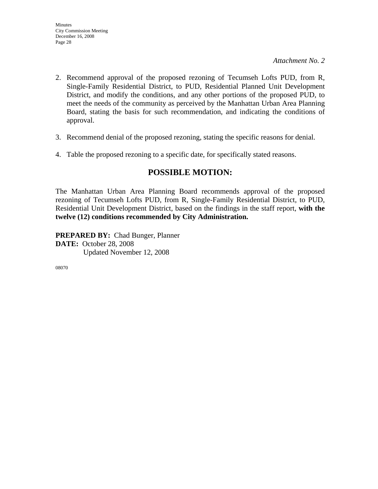- 2. Recommend approval of the proposed rezoning of Tecumseh Lofts PUD, from R, Single-Family Residential District, to PUD, Residential Planned Unit Development District, and modify the conditions, and any other portions of the proposed PUD, to meet the needs of the community as perceived by the Manhattan Urban Area Planning Board, stating the basis for such recommendation, and indicating the conditions of approval.
- 3. Recommend denial of the proposed rezoning, stating the specific reasons for denial.
- 4. Table the proposed rezoning to a specific date, for specifically stated reasons.

# **POSSIBLE MOTION:**

The Manhattan Urban Area Planning Board recommends approval of the proposed rezoning of Tecumseh Lofts PUD, from R, Single-Family Residential District, to PUD, Residential Unit Development District, based on the findings in the staff report, **with the twelve (12) conditions recommended by City Administration.** 

**PREPARED BY:** Chad Bunger, Planner **DATE:** October 28, 2008 Updated November 12, 2008

08070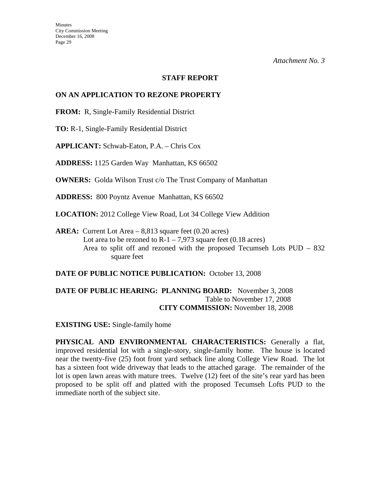#### **STAFF REPORT**

## **ON AN APPLICATION TO REZONE PROPERTY**

**FROM:** R, Single-Family Residential District

**TO:** R-1, Single-Family Residential District

**APPLICANT:** Schwab-Eaton, P.A. – Chris Cox

**ADDRESS:** 1125 Garden Way Manhattan, KS 66502

**OWNERS:** Golda Wilson Trust c/o The Trust Company of Manhattan

**ADDRESS:** 800 Poyntz Avenue Manhattan, KS 66502

**LOCATION:** 2012 College View Road, Lot 34 College View Addition

**AREA:** Current Lot Area – 8,813 square feet (0.20 acres) Lot area to be rezoned to  $R-1 - 7.973$  square feet (0.18 acres) Area to split off and rezoned with the proposed Tecumseh Lots PUD – 832 square feet

**DATE OF PUBLIC NOTICE PUBLICATION:** October 13, 2008

**DATE OF PUBLIC HEARING: PLANNING BOARD:** November 3, 2008 Table to November 17, 2008 **CITY COMMISSION:** November 18, 2008

**EXISTING USE:** Single-family home

**PHYSICAL AND ENVIRONMENTAL CHARACTERISTICS:** Generally a flat, improved residential lot with a single-story, single-family home. The house is located near the twenty-five (25) foot front yard setback line along College View Road. The lot has a sixteen foot wide driveway that leads to the attached garage. The remainder of the lot is open lawn areas with mature trees. Twelve (12) feet of the site's rear yard has been proposed to be split off and platted with the proposed Tecumseh Lofts PUD to the immediate north of the subject site.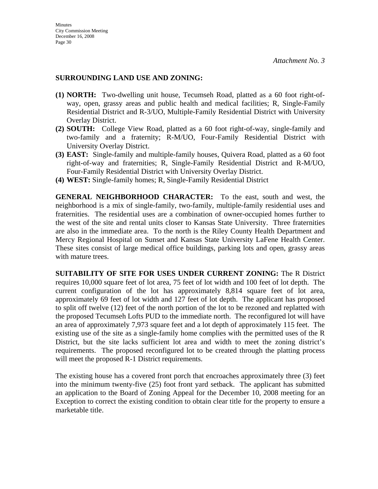#### **SURROUNDING LAND USE AND ZONING:**

- **(1) NORTH:** Two-dwelling unit house, Tecumseh Road, platted as a 60 foot right-ofway, open, grassy areas and public health and medical facilities; R, Single-Family Residential District and R-3/UO, Multiple-Family Residential District with University Overlay District.
- **(2) SOUTH:** College View Road, platted as a 60 foot right-of-way, single-family and two-family and a fraternity; R-M/UO, Four-Family Residential District with University Overlay District.
- **(3) EAST:** Single-family and multiple-family houses, Quivera Road, platted as a 60 foot right-of-way and fraternities; R, Single-Family Residential District and R-M/UO, Four-Family Residential District with University Overlay District.
- **(4) WEST:** Single-family homes; R, Single-Family Residential District

**GENERAL NEIGHBORHOOD CHARACTER:** To the east, south and west, the neighborhood is a mix of single-family, two-family, multiple-family residential uses and fraternities. The residential uses are a combination of owner-occupied homes further to the west of the site and rental units closer to Kansas State University. Three fraternities are also in the immediate area. To the north is the Riley County Health Department and Mercy Regional Hospital on Sunset and Kansas State University LaFene Health Center. These sites consist of large medical office buildings, parking lots and open, grassy areas with mature trees.

**SUITABILITY OF SITE FOR USES UNDER CURRENT ZONING:** The R District requires 10,000 square feet of lot area, 75 feet of lot width and 100 feet of lot depth. The current configuration of the lot has approximately 8,814 square feet of lot area, approximately 69 feet of lot width and 127 feet of lot depth. The applicant has proposed to split off twelve (12) feet of the north portion of the lot to be rezoned and replatted with the proposed Tecumseh Lofts PUD to the immediate north. The reconfigured lot will have an area of approximately 7,973 square feet and a lot depth of approximately 115 feet. The existing use of the site as a single-family home complies with the permitted uses of the R District, but the site lacks sufficient lot area and width to meet the zoning district's requirements. The proposed reconfigured lot to be created through the platting process will meet the proposed R-1 District requirements.

The existing house has a covered front porch that encroaches approximately three (3) feet into the minimum twenty-five (25) foot front yard setback. The applicant has submitted an application to the Board of Zoning Appeal for the December 10, 2008 meeting for an Exception to correct the existing condition to obtain clear title for the property to ensure a marketable title.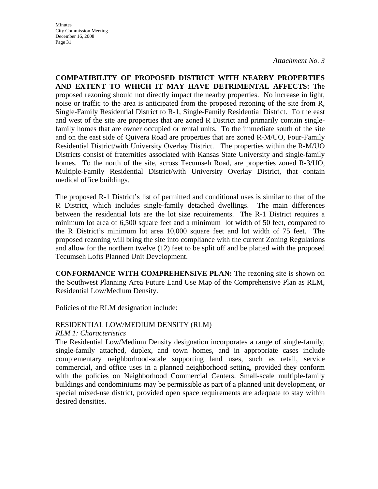**COMPATIBILITY OF PROPOSED DISTRICT WITH NEARBY PROPERTIES AND EXTENT TO WHICH IT MAY HAVE DETRIMENTAL AFFECTS:** The proposed rezoning should not directly impact the nearby properties. No increase in light, noise or traffic to the area is anticipated from the proposed rezoning of the site from R, Single-Family Residential District to R-1, Single-Family Residential District. To the east and west of the site are properties that are zoned R District and primarily contain singlefamily homes that are owner occupied or rental units. To the immediate south of the site and on the east side of Quivera Road are properties that are zoned R-M/UO, Four-Family Residential District/with University Overlay District. The properties within the R-M/UO Districts consist of fraternities associated with Kansas State University and single-family homes. To the north of the site, across Tecumseh Road, are properties zoned R-3/UO, Multiple-Family Residential District/with University Overlay District, that contain medical office buildings.

The proposed R-1 District's list of permitted and conditional uses is similar to that of the R District, which includes single-family detached dwellings. The main differences between the residential lots are the lot size requirements. The R-1 District requires a minimum lot area of 6,500 square feet and a minimum lot width of 50 feet, compared to the R District's minimum lot area 10,000 square feet and lot width of 75 feet. The proposed rezoning will bring the site into compliance with the current Zoning Regulations and allow for the northern twelve (12) feet to be split off and be platted with the proposed Tecumseh Lofts Planned Unit Development.

**CONFORMANCE WITH COMPREHENSIVE PLAN:** The rezoning site is shown on the Southwest Planning Area Future Land Use Map of the Comprehensive Plan as RLM, Residential Low/Medium Density.

Policies of the RLM designation include:

# RESIDENTIAL LOW/MEDIUM DENSITY (RLM)

#### *RLM 1: Characteristics*

The Residential Low/Medium Density designation incorporates a range of single-family, single-family attached, duplex, and town homes, and in appropriate cases include complementary neighborhood-scale supporting land uses, such as retail, service commercial, and office uses in a planned neighborhood setting, provided they conform with the policies on Neighborhood Commercial Centers. Small-scale multiple-family buildings and condominiums may be permissible as part of a planned unit development, or special mixed-use district, provided open space requirements are adequate to stay within desired densities.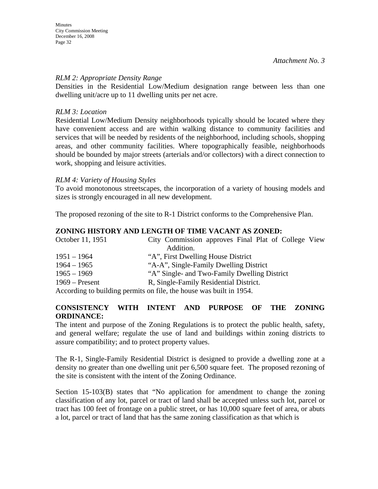#### *RLM 2: Appropriate Density Range*

Densities in the Residential Low/Medium designation range between less than one dwelling unit/acre up to 11 dwelling units per net acre.

#### *RLM 3: Location*

Residential Low/Medium Density neighborhoods typically should be located where they have convenient access and are within walking distance to community facilities and services that will be needed by residents of the neighborhood, including schools, shopping areas, and other community facilities. Where topographically feasible, neighborhoods should be bounded by major streets (arterials and/or collectors) with a direct connection to work, shopping and leisure activities.

### *RLM 4: Variety of Housing Styles*

To avoid monotonous streetscapes, the incorporation of a variety of housing models and sizes is strongly encouraged in all new development.

The proposed rezoning of the site to R-1 District conforms to the Comprehensive Plan.

# **ZONING HISTORY AND LENGTH OF TIME VACANT AS ZONED:**

| October 11, 1951 | City Commission approves Final Plat of College View                                        |
|------------------|--------------------------------------------------------------------------------------------|
|                  | Addition.                                                                                  |
| $1951 - 1964$    | "A", First Dwelling House District                                                         |
| $1964 - 1965$    | "A-A", Single-Family Dwelling District                                                     |
| $1965 - 1969$    | "A" Single- and Two-Family Dwelling District                                               |
| $1969$ – Present | R, Single-Family Residential District.                                                     |
|                  | A coording to building nome to on $\mathcal{L}_{\text{loc}}$ the house was built in $1054$ |

According to building permits on file, the house was built in 1954.

### **CONSISTENCY WITH INTENT AND PURPOSE OF THE ZONING ORDINANCE:**

The intent and purpose of the Zoning Regulations is to protect the public health, safety, and general welfare; regulate the use of land and buildings within zoning districts to assure compatibility; and to protect property values.

The R-1, Single-Family Residential District is designed to provide a dwelling zone at a density no greater than one dwelling unit per 6,500 square feet. The proposed rezoning of the site is consistent with the intent of the Zoning Ordinance.

Section 15-103(B) states that "No application for amendment to change the zoning classification of any lot, parcel or tract of land shall be accepted unless such lot, parcel or tract has 100 feet of frontage on a public street, or has 10,000 square feet of area, or abuts a lot, parcel or tract of land that has the same zoning classification as that which is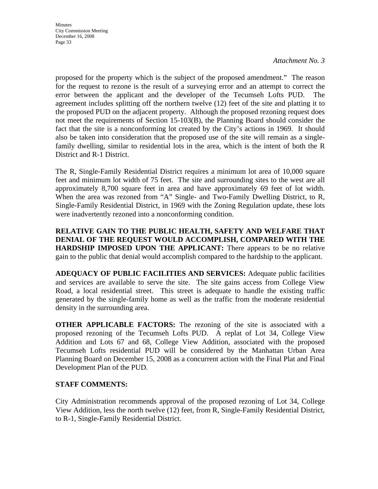proposed for the property which is the subject of the proposed amendment." The reason for the request to rezone is the result of a surveying error and an attempt to correct the error between the applicant and the developer of the Tecumseh Lofts PUD. The agreement includes splitting off the northern twelve (12) feet of the site and platting it to the proposed PUD on the adjacent property. Although the proposed rezoning request does not meet the requirements of Section 15-103(B), the Planning Board should consider the fact that the site is a nonconforming lot created by the City's actions in 1969. It should also be taken into consideration that the proposed use of the site will remain as a singlefamily dwelling, similar to residential lots in the area, which is the intent of both the R District and R-1 District.

The R, Single-Family Residential District requires a minimum lot area of 10,000 square feet and minimum lot width of 75 feet. The site and surrounding sites to the west are all approximately 8,700 square feet in area and have approximately 69 feet of lot width. When the area was rezoned from "A" Single- and Two-Family Dwelling District, to R, Single-Family Residential District, in 1969 with the Zoning Regulation update, these lots were inadvertently rezoned into a nonconforming condition.

**RELATIVE GAIN TO THE PUBLIC HEALTH, SAFETY AND WELFARE THAT DENIAL OF THE REQUEST WOULD ACCOMPLISH, COMPARED WITH THE HARDSHIP IMPOSED UPON THE APPLICANT:** There appears to be no relative gain to the public that denial would accomplish compared to the hardship to the applicant.

**ADEQUACY OF PUBLIC FACILITIES AND SERVICES:** Adequate public facilities and services are available to serve the site. The site gains access from College View Road, a local residential street. This street is adequate to handle the existing traffic generated by the single-family home as well as the traffic from the moderate residential density in the surrounding area.

**OTHER APPLICABLE FACTORS:** The rezoning of the site is associated with a proposed rezoning of the Tecumseh Lofts PUD. A replat of Lot 34, College View Addition and Lots 67 and 68, College View Addition, associated with the proposed Tecumseh Lofts residential PUD will be considered by the Manhattan Urban Area Planning Board on December 15, 2008 as a concurrent action with the Final Plat and Final Development Plan of the PUD.

# **STAFF COMMENTS:**

City Administration recommends approval of the proposed rezoning of Lot 34, College View Addition, less the north twelve (12) feet, from R, Single-Family Residential District, to R-1, Single-Family Residential District.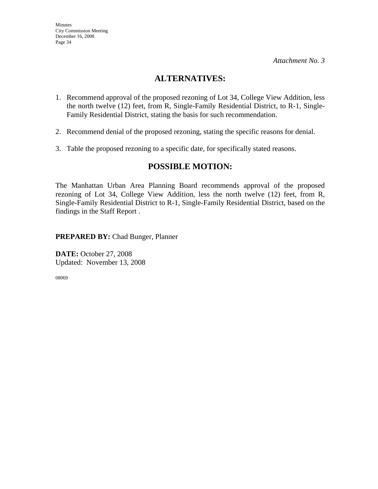# **ALTERNATIVES:**

- 1. Recommend approval of the proposed rezoning of Lot 34, College View Addition, less the north twelve (12) feet, from R, Single-Family Residential District, to R-1, Single-Family Residential District, stating the basis for such recommendation.
- 2. Recommend denial of the proposed rezoning, stating the specific reasons for denial.
- 3. Table the proposed rezoning to a specific date, for specifically stated reasons.

# **POSSIBLE MOTION:**

The Manhattan Urban Area Planning Board recommends approval of the proposed rezoning of Lot 34, College View Addition, less the north twelve (12) feet, from R, Single-Family Residential District to R-1, Single-Family Residential District, based on the findings in the Staff Report .

**PREPARED BY:** Chad Bunger, Planner

**DATE:** October 27, 2008 Updated: November 13, 2008

08069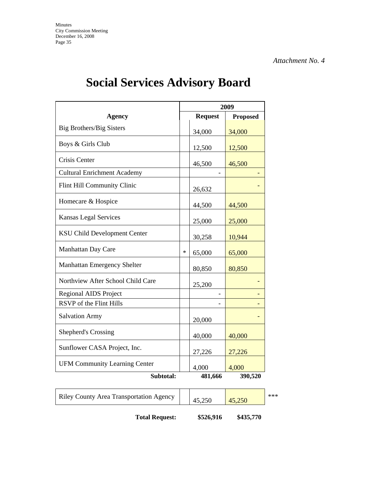|                                      | 2009   |                |                 |
|--------------------------------------|--------|----------------|-----------------|
| <b>Agency</b>                        |        | <b>Request</b> | <b>Proposed</b> |
| Big Brothers/Big Sisters             |        | 34,000         | 34,000          |
| Boys & Girls Club                    |        | 12,500         | 12,500          |
| Crisis Center                        |        | 46,500         | 46,500          |
| <b>Cultural Enrichment Academy</b>   |        |                |                 |
| Flint Hill Community Clinic          |        | 26,632         |                 |
| Homecare & Hospice                   |        | 44,500         | 44,500          |
| <b>Kansas Legal Services</b>         |        | 25,000         | 25,000          |
| <b>KSU Child Development Center</b>  |        | 30,258         | 10,944          |
| Manhattan Day Care                   | $\ast$ | 65,000         | 65,000          |
| Manhattan Emergency Shelter          |        | 80,850         | 80,850          |
| Northview After School Child Care    |        | 25,200         |                 |
| Regional AIDS Project                |        |                |                 |
| RSVP of the Flint Hills              |        |                |                 |
| <b>Salvation Army</b>                |        | 20,000         |                 |
| <b>Shepherd's Crossing</b>           |        | 40,000         | 40,000          |
| Sunflower CASA Project, Inc.         |        | 27,226         | 27,226          |
| <b>UFM Community Learning Center</b> |        | 4,000          | 4,000           |
| Subtotal:                            |        | 481,666        | 390,520         |

# **Social Services Advisory Board**

| <b>Riley County Area Transportation Agency</b> | 45,250 |  |
|------------------------------------------------|--------|--|
|                                                |        |  |

 $250$  \*\*\*

**Total Request: \$526,916 \$435,770**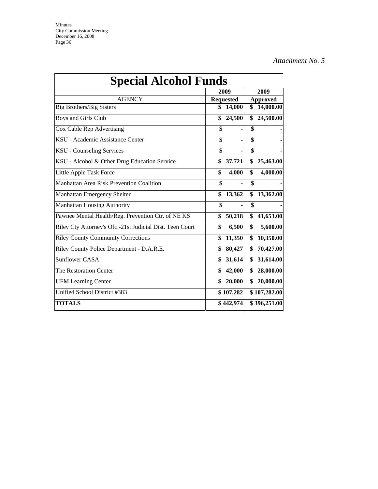| <b>Special Alcohol Funds</b>                             | 2009             |                 | 2009         |
|----------------------------------------------------------|------------------|-----------------|--------------|
| <b>AGENCY</b>                                            | <b>Requested</b> | <b>Approved</b> |              |
| <b>Big Brothers/Big Sisters</b>                          | \$<br>14,000     | \$              | 14,000.00    |
| Boys and Girls Club                                      | \$<br>24,500     | \$              | 24,500.00    |
| Cox Cable Rep Advertising                                | \$               | \$              |              |
| KSU - Academic Assistance Center                         | \$               | \$              |              |
| <b>KSU</b> - Counseling Services                         | \$               | \$              |              |
| KSU - Alcohol & Other Drug Education Service             | \$<br>37,721     | \$              | 25,463.00    |
| Little Apple Task Force                                  | \$<br>4,000      | \$              | 4,000.00     |
| <b>Manhattan Area Risk Prevention Coalition</b>          | \$               | \$              |              |
| Manhattan Emergency Shelter                              | \$<br>13,362     | \$              | 13,362.00    |
| <b>Manhattan Housing Authority</b>                       | \$               | \$              |              |
| Pawnee Mental Health/Reg. Prevention Ctr. of NE KS       | \$<br>50,218     | \$              | 41,653.00    |
| Riley Cty Attorney's Ofc.-21st Judicial Dist. Teen Court | \$<br>6,500      | \$              | 5,600.00     |
| <b>Riley County Community Corrections</b>                | \$<br>11,350     | \$              | 10,350.00    |
| Riley County Police Department - D.A.R.E.                | \$<br>80,427     | \$              | 70,427.00    |
| <b>Sunflower CASA</b>                                    | \$<br>31,614     | \$              | 31,614.00    |
| The Restoration Center                                   | \$<br>42,000     | \$              | 28,000.00    |
| <b>UFM Learning Center</b>                               | \$<br>20,000     | \$              | 20,000.00    |
| Unified School District #383                             | \$107,282        |                 | \$107,282.00 |
| <b>TOTALS</b>                                            | \$442,974        |                 | \$396,251.00 |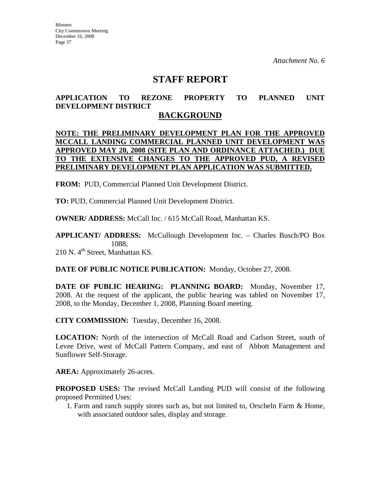# **STAFF REPORT**

# **APPLICATION TO REZONE PROPERTY TO PLANNED UNIT DEVELOPMENT DISTRICT**

# **BACKGROUND**

## **NOTE: THE PRELIMINARY DEVELOPMENT PLAN FOR THE APPROVED MCCALL LANDING COMMERCIAL PLANNED UNIT DEVELOPMENT WAS APPROVED MAY 20, 2008 (SITE PLAN AND ORDINANCE ATTACHED.) DUE TO THE EXTENSIVE CHANGES TO THE APPROVED PUD, A REVISED PRELIMINARY DEVELOPMENT PLAN APPLICATION WAS SUBMITTED.**

**FROM:** PUD, Commercial Planned Unit Development District.

**TO:** PUD, Commercial Planned Unit Development District.

**OWNER/ ADDRESS:** McCall Inc. / 615 McCall Road, Manhattan KS.

**APPLICANT/ ADDRESS:** McCullough Development Inc. – Charles Busch/PO Box 1088, 210 N. 4<sup>th</sup> Street, Manhattan KS.

**DATE OF PUBLIC NOTICE PUBLICATION:** Monday, October 27, 2008.

**DATE OF PUBLIC HEARING: PLANNING BOARD:** Monday, November 17, 2008. At the request of the applicant, the public hearing was tabled on November 17, 2008, to the Monday, December 1, 2008, Planning Board meeting.

**CITY COMMISSION:** Tuesday, December 16, 2008.

**LOCATION:** North of the intersection of McCall Road and Carlson Street, south of Levee Drive, west of McCall Pattern Company, and east of Abbott Management and Sunflower Self-Storage.

**AREA:** Approximately 26-acres.

**PROPOSED USES:** The revised McCall Landing PUD will consist of the following proposed Permitted Uses:

1. Farm and ranch supply stores such as, but not limited to, Orscheln Farm & Home, with associated outdoor sales, display and storage.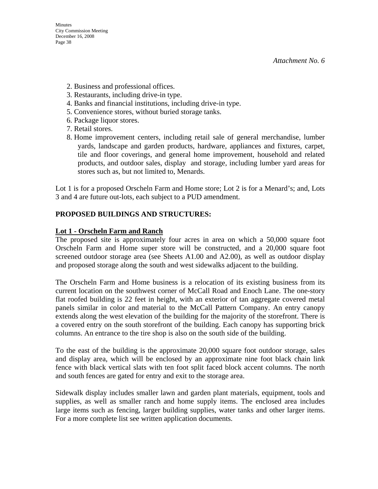- 2. Business and professional offices.
- 3. Restaurants, including drive-in type.
- 4. Banks and financial institutions, including drive-in type.
- 5. Convenience stores, without buried storage tanks.
- 6. Package liquor stores.
- 7. Retail stores.
- 8. Home improvement centers, including retail sale of general merchandise, lumber yards, landscape and garden products, hardware, appliances and fixtures, carpet, tile and floor coverings, and general home improvement, household and related products, and outdoor sales, display and storage, including lumber yard areas for stores such as, but not limited to, Menards.

Lot 1 is for a proposed Orscheln Farm and Home store; Lot 2 is for a Menard's; and, Lots 3 and 4 are future out-lots, each subject to a PUD amendment.

# **PROPOSED BUILDINGS AND STRUCTURES:**

### **Lot 1 - Orscheln Farm and Ranch**

The proposed site is approximately four acres in area on which a 50,000 square foot Orscheln Farm and Home super store will be constructed, and a 20,000 square foot screened outdoor storage area (see Sheets A1.00 and A2.00), as well as outdoor display and proposed storage along the south and west sidewalks adjacent to the building.

The Orscheln Farm and Home business is a relocation of its existing business from its current location on the southwest corner of McCall Road and Enoch Lane. The one-story flat roofed building is 22 feet in height, with an exterior of tan aggregate covered metal panels similar in color and material to the McCall Pattern Company. An entry canopy extends along the west elevation of the building for the majority of the storefront. There is a covered entry on the south storefront of the building. Each canopy has supporting brick columns. An entrance to the tire shop is also on the south side of the building.

To the east of the building is the approximate 20,000 square foot outdoor storage, sales and display area, which will be enclosed by an approximate nine foot black chain link fence with black vertical slats with ten foot split faced block accent columns. The north and south fences are gated for entry and exit to the storage area.

Sidewalk display includes smaller lawn and garden plant materials, equipment, tools and supplies, as well as smaller ranch and home supply items. The enclosed area includes large items such as fencing, larger building supplies, water tanks and other larger items. For a more complete list see written application documents.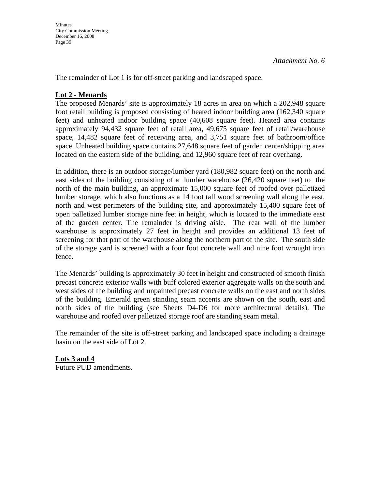The remainder of Lot 1 is for off-street parking and landscaped space.

# **Lot 2 - Menards**

The proposed Menards' site is approximately 18 acres in area on which a 202,948 square foot retail building is proposed consisting of heated indoor building area (162,340 square feet) and unheated indoor building space (40,608 square feet). Heated area contains approximately 94,432 square feet of retail area, 49,675 square feet of retail/warehouse space, 14,482 square feet of receiving area, and 3,751 square feet of bathroom/office space. Unheated building space contains 27,648 square feet of garden center/shipping area located on the eastern side of the building, and 12,960 square feet of rear overhang.

In addition, there is an outdoor storage/lumber yard (180,982 square feet) on the north and east sides of the building consisting of a lumber warehouse (26,420 square feet) to the north of the main building, an approximate 15,000 square feet of roofed over palletized lumber storage, which also functions as a 14 foot tall wood screening wall along the east, north and west perimeters of the building site, and approximately 15,400 square feet of open palletized lumber storage nine feet in height, which is located to the immediate east of the garden center. The remainder is driving aisle. The rear wall of the lumber warehouse is approximately 27 feet in height and provides an additional 13 feet of screening for that part of the warehouse along the northern part of the site. The south side of the storage yard is screened with a four foot concrete wall and nine foot wrought iron fence.

The Menards' building is approximately 30 feet in height and constructed of smooth finish precast concrete exterior walls with buff colored exterior aggregate walls on the south and west sides of the building and unpainted precast concrete walls on the east and north sides of the building. Emerald green standing seam accents are shown on the south, east and north sides of the building (see Sheets D4-D6 for more architectural details). The warehouse and roofed over palletized storage roof are standing seam metal.

The remainder of the site is off-street parking and landscaped space including a drainage basin on the east side of Lot 2.

**Lots 3 and 4** Future PUD amendments.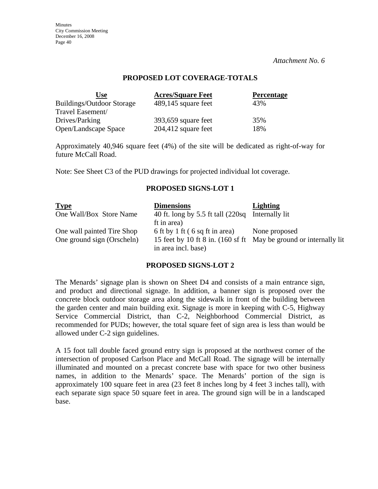**Minutes** City Commission Meeting December 16, 2008 Page 40

*Attachment No. 6* 

### **PROPOSED LOT COVERAGE-TOTALS**

| Use                              | <b>Acres/Square Feet</b> | <b>Percentage</b> |
|----------------------------------|--------------------------|-------------------|
| <b>Buildings/Outdoor Storage</b> | 489,145 square feet      | 43%               |
| Travel Easement/                 |                          |                   |
| Drives/Parking                   | $393,659$ square feet    | 35%               |
| Open/Landscape Space             | $204,412$ square feet    | 18%               |

Approximately 40,946 square feet (4%) of the site will be dedicated as right-of-way for future McCall Road.

Note: See Sheet C3 of the PUD drawings for projected individual lot coverage.

#### **PROPOSED SIGNS-LOT 1**

| <b>Type</b>                                              | <b>Dimensions</b>                                               | Lighting                                                                           |
|----------------------------------------------------------|-----------------------------------------------------------------|------------------------------------------------------------------------------------|
| One Wall/Box Store Name                                  | 40 ft. long by 5.5 ft tall (220sq Internally lit<br>ft in area) |                                                                                    |
| One wall painted Tire Shop<br>One ground sign (Orscheln) | 6 ft by 1 ft (6 sq ft in area)<br>in area incl. base)           | None proposed<br>15 feet by 10 ft 8 in. (160 sf ft May be ground or internally lit |

# **PROPOSED SIGNS-LOT 2**

The Menards' signage plan is shown on Sheet D4 and consists of a main entrance sign, and product and directional signage. In addition, a banner sign is proposed over the concrete block outdoor storage area along the sidewalk in front of the building between the garden center and main building exit. Signage is more in keeping with C-5, Highway Service Commercial District, than C-2, Neighborhood Commercial District, as recommended for PUDs; however, the total square feet of sign area is less than would be allowed under C-2 sign guidelines.

A 15 foot tall double faced ground entry sign is proposed at the northwest corner of the intersection of proposed Carlson Place and McCall Road. The signage will be internally illuminated and mounted on a precast concrete base with space for two other business names, in addition to the Menards' space. The Menards' portion of the sign is approximately 100 square feet in area (23 feet 8 inches long by 4 feet 3 inches tall), with each separate sign space 50 square feet in area. The ground sign will be in a landscaped base.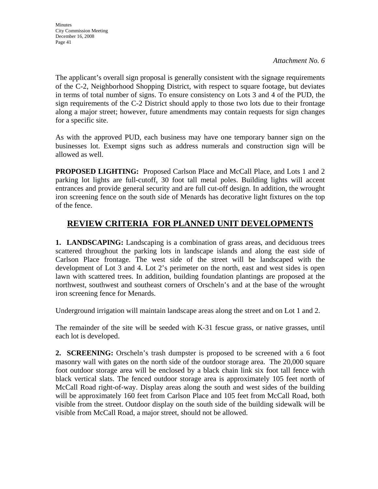The applicant's overall sign proposal is generally consistent with the signage requirements of the C-2, Neighborhood Shopping District, with respect to square footage, but deviates in terms of total number of signs. To ensure consistency on Lots 3 and 4 of the PUD, the sign requirements of the C-2 District should apply to those two lots due to their frontage along a major street; however, future amendments may contain requests for sign changes for a specific site.

As with the approved PUD, each business may have one temporary banner sign on the businesses lot. Exempt signs such as address numerals and construction sign will be allowed as well.

**PROPOSED LIGHTING:** Proposed Carlson Place and McCall Place, and Lots 1 and 2 parking lot lights are full-cutoff, 30 foot tall metal poles. Building lights will accent entrances and provide general security and are full cut-off design. In addition, the wrought iron screening fence on the south side of Menards has decorative light fixtures on the top of the fence.

# **REVIEW CRITERIA FOR PLANNED UNIT DEVELOPMENTS**

**1. LANDSCAPING:** Landscaping is a combination of grass areas, and deciduous trees scattered throughout the parking lots in landscape islands and along the east side of Carlson Place frontage. The west side of the street will be landscaped with the development of Lot 3 and 4. Lot 2's perimeter on the north, east and west sides is open lawn with scattered trees. In addition, building foundation plantings are proposed at the northwest, southwest and southeast corners of Orscheln's and at the base of the wrought iron screening fence for Menards.

Underground irrigation will maintain landscape areas along the street and on Lot 1 and 2.

The remainder of the site will be seeded with K-31 fescue grass, or native grasses, until each lot is developed.

**2. SCREENING:** Orscheln's trash dumpster is proposed to be screened with a 6 foot masonry wall with gates on the north side of the outdoor storage area. The 20,000 square foot outdoor storage area will be enclosed by a black chain link six foot tall fence with black vertical slats. The fenced outdoor storage area is approximately 105 feet north of McCall Road right-of-way. Display areas along the south and west sides of the building will be approximately 160 feet from Carlson Place and 105 feet from McCall Road, both visible from the street. Outdoor display on the south side of the building sidewalk will be visible from McCall Road, a major street, should not be allowed.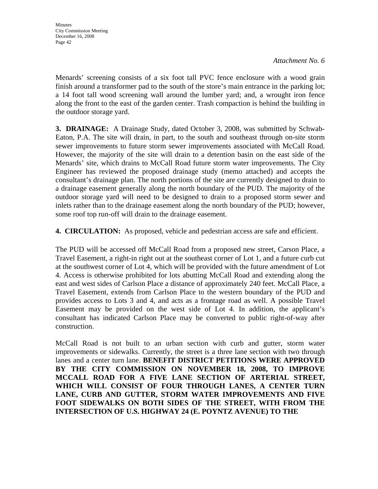Menards' screening consists of a six foot tall PVC fence enclosure with a wood grain finish around a transformer pad to the south of the store's main entrance in the parking lot; a 14 foot tall wood screening wall around the lumber yard; and, a wrought iron fence along the front to the east of the garden center. Trash compaction is behind the building in the outdoor storage yard.

**3. DRAINAGE:** A Drainage Study, dated October 3, 2008, was submitted by Schwab-Eaton, P.A. The site will drain, in part, to the south and southeast through on-site storm sewer improvements to future storm sewer improvements associated with McCall Road. However, the majority of the site will drain to a detention basin on the east side of the Menards' site, which drains to McCall Road future storm water improvements. The City Engineer has reviewed the proposed drainage study (memo attached) and accepts the consultant's drainage plan. The north portions of the site are currently designed to drain to a drainage easement generally along the north boundary of the PUD. The majority of the outdoor storage yard will need to be designed to drain to a proposed storm sewer and inlets rather than to the drainage easement along the north boundary of the PUD; however, some roof top run-off will drain to the drainage easement.

**4. CIRCULATION:** As proposed, vehicle and pedestrian access are safe and efficient.

The PUD will be accessed off McCall Road from a proposed new street, Carson Place, a Travel Easement, a right-in right out at the southeast corner of Lot 1, and a future curb cut at the southwest corner of Lot 4, which will be provided with the future amendment of Lot 4. Access is otherwise prohibited for lots abutting McCall Road and extending along the east and west sides of Carlson Place a distance of approximately 240 feet. McCall Place, a Travel Easement, extends from Carlson Place to the western boundary of the PUD and provides access to Lots 3 and 4, and acts as a frontage road as well. A possible Travel Easement may be provided on the west side of Lot 4. In addition, the applicant's consultant has indicated Carlson Place may be converted to public right-of-way after construction.

McCall Road is not built to an urban section with curb and gutter, storm water improvements or sidewalks. Currently, the street is a three lane section with two through lanes and a center turn lane. **BENEFIT DISTRICT PETITIONS WERE APPROVED BY THE CITY COMMISSION ON NOVEMBER 18, 2008, TO IMPROVE MCCALL ROAD FOR A FIVE LANE SECTION OF ARTERIAL STREET, WHICH WILL CONSIST OF FOUR THROUGH LANES, A CENTER TURN LANE, CURB AND GUTTER, STORM WATER IMPROVEMENTS AND FIVE FOOT SIDEWALKS ON BOTH SIDES OF THE STREET, WITH FROM THE INTERSECTION OF U.S. HIGHWAY 24 (E. POYNTZ AVENUE) TO THE**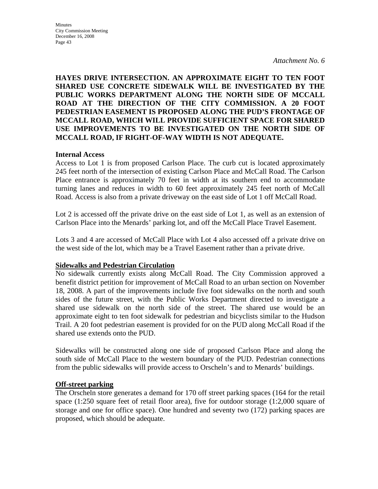# **HAYES DRIVE INTERSECTION. AN APPROXIMATE EIGHT TO TEN FOOT SHARED USE CONCRETE SIDEWALK WILL BE INVESTIGATED BY THE PUBLIC WORKS DEPARTMENT ALONG THE NORTH SIDE OF MCCALL ROAD AT THE DIRECTION OF THE CITY COMMISSION. A 20 FOOT PEDESTRIAN EASEMENT IS PROPOSED ALONG THE PUD'S FRONTAGE OF MCCALL ROAD, WHICH WILL PROVIDE SUFFICIENT SPACE FOR SHARED USE IMPROVEMENTS TO BE INVESTIGATED ON THE NORTH SIDE OF MCCALL ROAD, IF RIGHT-OF-WAY WIDTH IS NOT ADEQUATE.**

### **Internal Access**

Access to Lot 1 is from proposed Carlson Place. The curb cut is located approximately 245 feet north of the intersection of existing Carlson Place and McCall Road. The Carlson Place entrance is approximately 70 feet in width at its southern end to accommodate turning lanes and reduces in width to 60 feet approximately 245 feet north of McCall Road. Access is also from a private driveway on the east side of Lot 1 off McCall Road.

Lot 2 is accessed off the private drive on the east side of Lot 1, as well as an extension of Carlson Place into the Menards' parking lot, and off the McCall Place Travel Easement.

Lots 3 and 4 are accessed of McCall Place with Lot 4 also accessed off a private drive on the west side of the lot, which may be a Travel Easement rather than a private drive.

#### **Sidewalks and Pedestrian Circulation**

No sidewalk currently exists along McCall Road. The City Commission approved a benefit district petition for improvement of McCall Road to an urban section on November 18, 2008. A part of the improvements include five foot sidewalks on the north and south sides of the future street, with the Public Works Department directed to investigate a shared use sidewalk on the north side of the street. The shared use would be an approximate eight to ten foot sidewalk for pedestrian and bicyclists similar to the Hudson Trail. A 20 foot pedestrian easement is provided for on the PUD along McCall Road if the shared use extends onto the PUD.

Sidewalks will be constructed along one side of proposed Carlson Place and along the south side of McCall Place to the western boundary of the PUD. Pedestrian connections from the public sidewalks will provide access to Orscheln's and to Menards' buildings.

#### **Off-street parking**

The Orscheln store generates a demand for 170 off street parking spaces (164 for the retail space  $(1:250)$  square feet of retail floor area), five for outdoor storage  $(1:2,000)$  square of storage and one for office space). One hundred and seventy two (172) parking spaces are proposed, which should be adequate.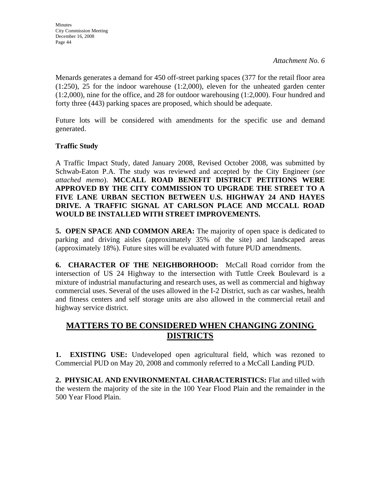Menards generates a demand for 450 off-street parking spaces (377 for the retail floor area (1:250), 25 for the indoor warehouse (1:2,000), eleven for the unheated garden center (1:2,000), nine for the office, and 28 for outdoor warehousing (1:2,000). Four hundred and forty three (443) parking spaces are proposed, which should be adequate.

Future lots will be considered with amendments for the specific use and demand generated.

# **Traffic Study**

A Traffic Impact Study, dated January 2008, Revised October 2008, was submitted by Schwab-Eaton P.A. The study was reviewed and accepted by the City Engineer (*see attached memo*). **MCCALL ROAD BENEFIT DISTRICT PETITIONS WERE APPROVED BY THE CITY COMMISSION TO UPGRADE THE STREET TO A FIVE LANE URBAN SECTION BETWEEN U.S. HIGHWAY 24 AND HAYES DRIVE. A TRAFFIC SIGNAL AT CARLSON PLACE AND MCCALL ROAD WOULD BE INSTALLED WITH STREET IMPROVEMENTS.**

**5. OPEN SPACE AND COMMON AREA:** The majority of open space is dedicated to parking and driving aisles (approximately 35% of the site) and landscaped areas (approximately 18%). Future sites will be evaluated with future PUD amendments.

**6. CHARACTER OF THE NEIGHBORHOOD:** McCall Road corridor from the intersection of US 24 Highway to the intersection with Tuttle Creek Boulevard is a mixture of industrial manufacturing and research uses, as well as commercial and highway commercial uses. Several of the uses allowed in the I-2 District, such as car washes, health and fitness centers and self storage units are also allowed in the commercial retail and highway service district.

# **MATTERS TO BE CONSIDERED WHEN CHANGING ZONING DISTRICTS**

**1. EXISTING USE:** Undeveloped open agricultural field, which was rezoned to Commercial PUD on May 20, 2008 and commonly referred to a McCall Landing PUD.

**2. PHYSICAL AND ENVIRONMENTAL CHARACTERISTICS:** Flat and tilled with the western the majority of the site in the 100 Year Flood Plain and the remainder in the 500 Year Flood Plain.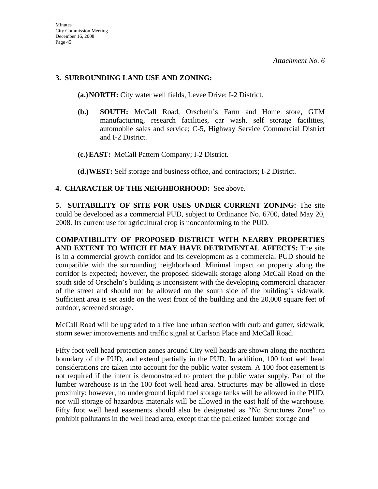# **3. SURROUNDING LAND USE AND ZONING:**

**(a.)NORTH:** City water well fields, Levee Drive: I-2 District.

- **(b.) SOUTH:** McCall Road, Orscheln's Farm and Home store, GTM manufacturing, research facilities, car wash, self storage facilities, automobile sales and service; C-5, Highway Service Commercial District and I-2 District.
- **(c.)EAST:** McCall Pattern Company; I-2 District.

**(d.)WEST:** Self storage and business office, and contractors; I-2 District.

# **4. CHARACTER OF THE NEIGHBORHOOD:** See above.

**5. SUITABILITY OF SITE FOR USES UNDER CURRENT ZONING:** The site could be developed as a commercial PUD, subject to Ordinance No. 6700, dated May 20, 2008. Its current use for agricultural crop is nonconforming to the PUD.

**COMPATIBILITY OF PROPOSED DISTRICT WITH NEARBY PROPERTIES AND EXTENT TO WHICH IT MAY HAVE DETRIMENTAL AFFECTS:** The site is in a commercial growth corridor and its development as a commercial PUD should be compatible with the surrounding neighborhood. Minimal impact on property along the corridor is expected; however, the proposed sidewalk storage along McCall Road on the south side of Orscheln's building is inconsistent with the developing commercial character of the street and should not be allowed on the south side of the building's sidewalk. Sufficient area is set aside on the west front of the building and the 20,000 square feet of outdoor, screened storage.

McCall Road will be upgraded to a five lane urban section with curb and gutter, sidewalk, storm sewer improvements and traffic signal at Carlson Place and McCall Road.

Fifty foot well head protection zones around City well heads are shown along the northern boundary of the PUD, and extend partially in the PUD. In addition, 100 foot well head considerations are taken into account for the public water system. A 100 foot easement is not required if the intent is demonstrated to protect the public water supply. Part of the lumber warehouse is in the 100 foot well head area. Structures may be allowed in close proximity; however, no underground liquid fuel storage tanks will be allowed in the PUD, nor will storage of hazardous materials will be allowed in the east half of the warehouse. Fifty foot well head easements should also be designated as "No Structures Zone" to prohibit pollutants in the well head area, except that the palletized lumber storage and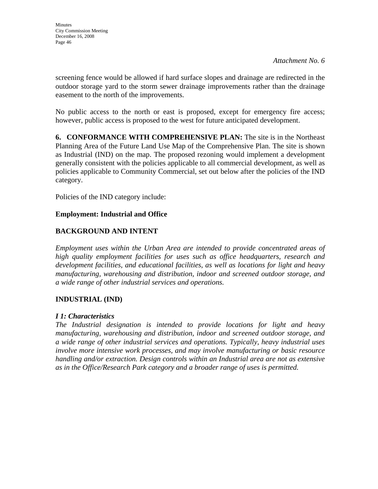screening fence would be allowed if hard surface slopes and drainage are redirected in the outdoor storage yard to the storm sewer drainage improvements rather than the drainage easement to the north of the improvements.

No public access to the north or east is proposed, except for emergency fire access; however, public access is proposed to the west for future anticipated development.

**6. CONFORMANCE WITH COMPREHENSIVE PLAN:** The site is in the Northeast Planning Area of the Future Land Use Map of the Comprehensive Plan. The site is shown as Industrial (IND) on the map. The proposed rezoning would implement a development generally consistent with the policies applicable to all commercial development, as well as policies applicable to Community Commercial, set out below after the policies of the IND category.

Policies of the IND category include:

# **Employment: Industrial and Office**

# **BACKGROUND AND INTENT**

*Employment uses within the Urban Area are intended to provide concentrated areas of high quality employment facilities for uses such as office headquarters, research and development facilities, and educational facilities, as well as locations for light and heavy manufacturing, warehousing and distribution, indoor and screened outdoor storage, and a wide range of other industrial services and operations.* 

# **INDUSTRIAL (IND)**

# *I 1: Characteristics*

*The Industrial designation is intended to provide locations for light and heavy manufacturing, warehousing and distribution, indoor and screened outdoor storage, and a wide range of other industrial services and operations. Typically, heavy industrial uses involve more intensive work processes, and may involve manufacturing or basic resource handling and/or extraction. Design controls within an Industrial area are not as extensive as in the Office/Research Park category and a broader range of uses is permitted.*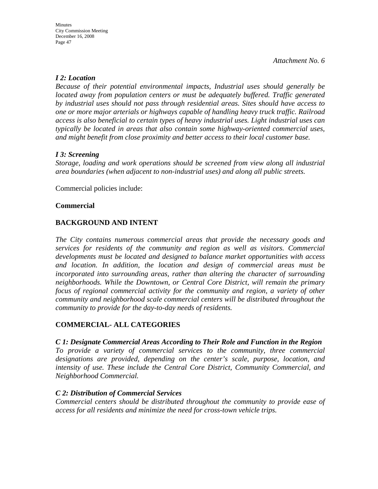# *I 2: Location*

*Because of their potential environmental impacts, Industrial uses should generally be located away from population centers or must be adequately buffered. Traffic generated by industrial uses should not pass through residential areas. Sites should have access to one or more major arterials or highways capable of handling heavy truck traffic. Railroad access is also beneficial to certain types of heavy industrial uses. Light industrial uses can typically be located in areas that also contain some highway-oriented commercial uses, and might benefit from close proximity and better access to their local customer base.* 

# *I 3: Screening*

*Storage, loading and work operations should be screened from view along all industrial area boundaries (when adjacent to non-industrial uses) and along all public streets.* 

Commercial policies include:

# **Commercial**

# **BACKGROUND AND INTENT**

*The City contains numerous commercial areas that provide the necessary goods and services for residents of the community and region as well as visitors. Commercial developments must be located and designed to balance market opportunities with access and location. In addition, the location and design of commercial areas must be incorporated into surrounding areas, rather than altering the character of surrounding neighborhoods. While the Downtown, or Central Core District, will remain the primary focus of regional commercial activity for the community and region, a variety of other community and neighborhood scale commercial centers will be distributed throughout the community to provide for the day-to-day needs of residents.* 

# **COMMERCIAL- ALL CATEGORIES**

#### *C 1: Designate Commercial Areas According to Their Role and Function in the Region*

*To provide a variety of commercial services to the community, three commercial designations are provided, depending on the center's scale, purpose, location, and intensity of use. These include the Central Core District, Community Commercial, and Neighborhood Commercial.* 

#### *C 2: Distribution of Commercial Services*

*Commercial centers should be distributed throughout the community to provide ease of access for all residents and minimize the need for cross-town vehicle trips.*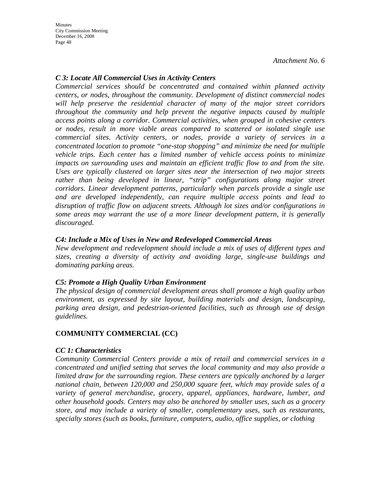**Minutes** City Commission Meeting December 16, 2008 Page 48

*Attachment No. 6* 

### *C 3: Locate All Commercial Uses in Activity Centers*

*Commercial services should be concentrated and contained within planned activity centers, or nodes, throughout the community. Development of distinct commercial nodes will help preserve the residential character of many of the major street corridors throughout the community and help prevent the negative impacts caused by multiple access points along a corridor. Commercial activities, when grouped in cohesive centers or nodes, result in more viable areas compared to scattered or isolated single use commercial sites. Activity centers, or nodes, provide a variety of services in a concentrated location to promote "one-stop shopping" and minimize the need for multiple vehicle trips. Each center has a limited number of vehicle access points to minimize impacts on surrounding uses and maintain an efficient traffic flow to and from the site. Uses are typically clustered on larger sites near the intersection of two major streets*  rather than being developed in linear, "strip" configurations along major street *corridors. Linear development patterns, particularly when parcels provide a single use and are developed independently, can require multiple access points and lead to disruption of traffic flow on adjacent streets. Although lot sizes and/or configurations in some areas may warrant the use of a more linear development pattern, it is generally discouraged.* 

### *C4: Include a Mix of Uses in New and Redeveloped Commercial Areas*

*New development and redevelopment should include a mix of uses of different types and sizes, creating a diversity of activity and avoiding large, single-use buildings and dominating parking areas.* 

# *C5: Promote a High Quality Urban Environment*

*The physical design of commercial development areas shall promote a high quality urban environment, as expressed by site layout, building materials and design, landscaping, parking area design, and pedestrian-oriented facilities, such as through use of design guidelines.* 

# **COMMUNITY COMMERCIAL (CC)**

#### *CC 1: Characteristics*

*Community Commercial Centers provide a mix of retail and commercial services in a concentrated and unified setting that serves the local community and may also provide a limited draw for the surrounding region. These centers are typically anchored by a larger national chain, between 120,000 and 250,000 square feet, which may provide sales of a variety of general merchandise, grocery, apparel, appliances, hardware, lumber, and other household goods. Centers may also be anchored by smaller uses, such as a grocery store, and may include a variety of smaller, complementary uses, such as restaurants, specialty stores (such as books, furniture, computers, audio, office supplies, or clothing*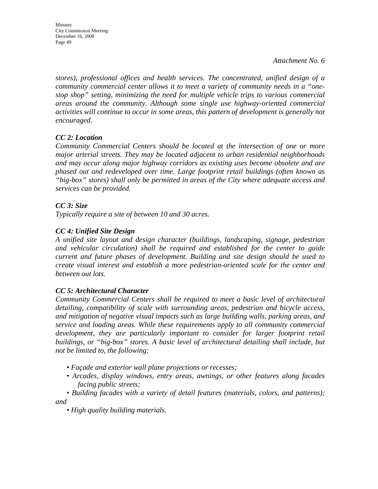*stores), professional offices and health services. The concentrated, unified design of a community commercial center allows it to meet a variety of community needs in a "onestop shop" setting, minimizing the need for multiple vehicle trips to various commercial areas around the community. Although some single use highway-oriented commercial*  activities will continue to occur in some areas, this pattern of development is generally not *encouraged.* 

# *CC 2: Location*

*Community Commercial Centers should be located at the intersection of one or more major arterial streets. They may be located adjacent to urban residential neighborhoods and may occur along major highway corridors as existing uses become obsolete and are phased out and redeveloped over time. Large footprint retail buildings (often known as "big-box" stores) shall only be permitted in areas of the City where adequate access and services can be provided.* 

# *CC 3: Size*

*Typically require a site of between 10 and 30 acres.* 

# *CC 4: Unified Site Design*

*A unified site layout and design character (buildings, landscaping, signage, pedestrian and vehicular circulation) shall be required and established for the center to guide current and future phases of development. Building and site design should be used to create visual interest and establish a more pedestrian-oriented scale for the center and between out lots.* 

# *CC 5: Architectural Character*

*Community Commercial Centers shall be required to meet a basic level of architectural detailing, compatibility of scale with surrounding areas, pedestrian and bicycle access, and mitigation of negative visual impacts such as large building walls, parking areas, and service and loading areas. While these requirements apply to all community commercial development, they are particularly important to consider for larger footprint retail buildings, or "big-box" stores. A basic level of architectural detailing shall include, but not be limited to, the following:* 

- *Façade and exterior wall plane projections or recesses;*
- *Arcades, display windows, entry areas, awnings, or other features along facades facing public streets;*

*• Building facades with a variety of detail features (materials, colors, and patterns); and* 

*• High quality building materials.*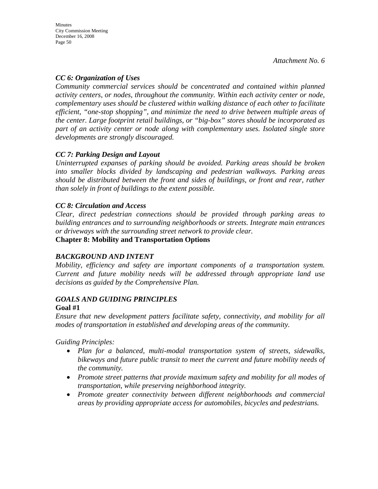# *CC 6: Organization of Uses*

*Community commercial services should be concentrated and contained within planned activity centers, or nodes, throughout the community. Within each activity center or node, complementary uses should be clustered within walking distance of each other to facilitate efficient, "one-stop shopping", and minimize the need to drive between multiple areas of the center. Large footprint retail buildings, or "big-box" stores should be incorporated as part of an activity center or node along with complementary uses. Isolated single store developments are strongly discouraged.* 

# *CC 7: Parking Design and Layout*

*Uninterrupted expanses of parking should be avoided. Parking areas should be broken into smaller blocks divided by landscaping and pedestrian walkways. Parking areas should be distributed between the front and sides of buildings, or front and rear, rather than solely in front of buildings to the extent possible.* 

# *CC 8: Circulation and Access*

*Clear, direct pedestrian connections should be provided through parking areas to building entrances and to surrounding neighborhoods or streets. Integrate main entrances or driveways with the surrounding street network to provide clear.* 

# **Chapter 8: Mobility and Transportation Options**

# *BACKGROUND AND INTENT*

*Mobility, efficiency and safety are important components of a transportation system. Current and future mobility needs will be addressed through appropriate land use decisions as guided by the Comprehensive Plan.* 

### *GOALS AND GUIDING PRINCIPLES*  **Goal #1**

*Ensure that new development patters facilitate safety, connectivity, and mobility for all modes of transportation in established and developing areas of the community.* 

*Guiding Principles:* 

- *Plan for a balanced, multi-modal transportation system of streets, sidewalks, bikeways and future public transit to meet the current and future mobility needs of the community.*
- *Promote street patterns that provide maximum safety and mobility for all modes of transportation, while preserving neighborhood integrity.*
- *Promote greater connectivity between different neighborhoods and commercial areas by providing appropriate access for automobiles, bicycles and pedestrians.*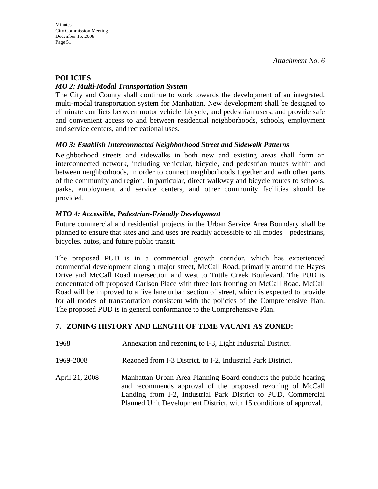# **POLICIES**

## *MO 2: Multi-Modal Transportation System*

The City and County shall continue to work towards the development of an integrated, multi-modal transportation system for Manhattan. New development shall be designed to eliminate conflicts between motor vehicle, bicycle, and pedestrian users, and provide safe and convenient access to and between residential neighborhoods, schools, employment and service centers, and recreational uses.

# *MO 3: Establish Interconnected Neighborhood Street and Sidewalk Patterns*

Neighborhood streets and sidewalks in both new and existing areas shall form an interconnected network, including vehicular, bicycle, and pedestrian routes within and between neighborhoods, in order to connect neighborhoods together and with other parts of the community and region. In particular, direct walkway and bicycle routes to schools, parks, employment and service centers, and other community facilities should be provided.

# *MTO 4: Accessible, Pedestrian-Friendly Development*

Future commercial and residential projects in the Urban Service Area Boundary shall be planned to ensure that sites and land uses are readily accessible to all modes—pedestrians, bicycles, autos, and future public transit.

The proposed PUD is in a commercial growth corridor, which has experienced commercial development along a major street, McCall Road, primarily around the Hayes Drive and McCall Road intersection and west to Tuttle Creek Boulevard. The PUD is concentrated off proposed Carlson Place with three lots fronting on McCall Road. McCall Road will be improved to a five lane urban section of street, which is expected to provide for all modes of transportation consistent with the policies of the Comprehensive Plan. The proposed PUD is in general conformance to the Comprehensive Plan.

# **7. ZONING HISTORY AND LENGTH OF TIME VACANT AS ZONED:**

| 1968           | Annexation and rezoning to I-3, Light Industrial District.                                                                                                                                                                                                           |
|----------------|----------------------------------------------------------------------------------------------------------------------------------------------------------------------------------------------------------------------------------------------------------------------|
| 1969-2008      | Rezoned from I-3 District, to I-2, Industrial Park District.                                                                                                                                                                                                         |
| April 21, 2008 | Manhattan Urban Area Planning Board conducts the public hearing<br>and recommends approval of the proposed rezoning of McCall<br>Landing from I-2, Industrial Park District to PUD, Commercial<br>Planned Unit Development District, with 15 conditions of approval. |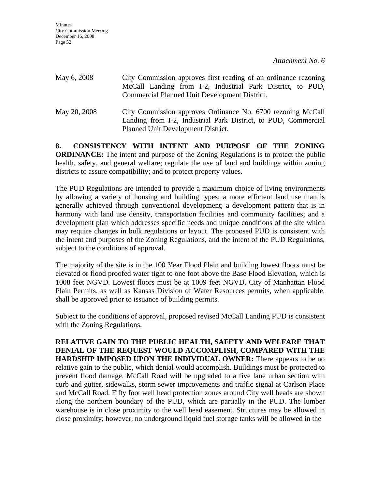| May 6, 2008  | City Commission approves first reading of an ordinance rezoning<br>McCall Landing from I-2, Industrial Park District, to PUD,<br>Commercial Planned Unit Development District. |
|--------------|--------------------------------------------------------------------------------------------------------------------------------------------------------------------------------|
| May 20, 2008 | City Commission approves Ordinance No. 6700 rezoning McCall<br>Landing from I-2, Industrial Park District, to PUD, Commercial<br>Planned Unit Development District.            |

**8. CONSISTENCY WITH INTENT AND PURPOSE OF THE ZONING ORDINANCE:** The intent and purpose of the Zoning Regulations is to protect the public health, safety, and general welfare; regulate the use of land and buildings within zoning districts to assure compatibility; and to protect property values.

The PUD Regulations are intended to provide a maximum choice of living environments by allowing a variety of housing and building types; a more efficient land use than is generally achieved through conventional development; a development pattern that is in harmony with land use density, transportation facilities and community facilities; and a development plan which addresses specific needs and unique conditions of the site which may require changes in bulk regulations or layout. The proposed PUD is consistent with the intent and purposes of the Zoning Regulations, and the intent of the PUD Regulations, subject to the conditions of approval.

The majority of the site is in the 100 Year Flood Plain and building lowest floors must be elevated or flood proofed water tight to one foot above the Base Flood Elevation, which is 1008 feet NGVD. Lowest floors must be at 1009 feet NGVD. City of Manhattan Flood Plain Permits, as well as Kansas Division of Water Resources permits, when applicable, shall be approved prior to issuance of building permits.

Subject to the conditions of approval, proposed revised McCall Landing PUD is consistent with the Zoning Regulations.

**RELATIVE GAIN TO THE PUBLIC HEALTH, SAFETY AND WELFARE THAT DENIAL OF THE REQUEST WOULD ACCOMPLISH, COMPARED WITH THE HARDSHIP IMPOSED UPON THE INDIVIDUAL OWNER:** There appears to be no relative gain to the public, which denial would accomplish. Buildings must be protected to prevent flood damage. McCall Road will be upgraded to a five lane urban section with curb and gutter, sidewalks, storm sewer improvements and traffic signal at Carlson Place and McCall Road. Fifty foot well head protection zones around City well heads are shown along the northern boundary of the PUD, which are partially in the PUD. The lumber warehouse is in close proximity to the well head easement. Structures may be allowed in close proximity; however, no underground liquid fuel storage tanks will be allowed in the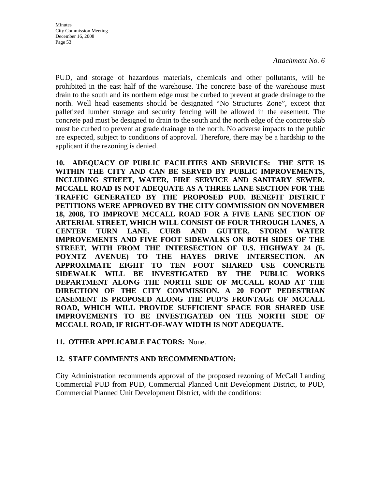PUD, and storage of hazardous materials, chemicals and other pollutants, will be prohibited in the east half of the warehouse. The concrete base of the warehouse must drain to the south and its northern edge must be curbed to prevent at grade drainage to the north. Well head easements should be designated "No Structures Zone", except that palletized lumber storage and security fencing will be allowed in the easement. The concrete pad must be designed to drain to the south and the north edge of the concrete slab must be curbed to prevent at grade drainage to the north. No adverse impacts to the public are expected, subject to conditions of approval. Therefore, there may be a hardship to the applicant if the rezoning is denied.

**10. ADEQUACY OF PUBLIC FACILITIES AND SERVICES: THE SITE IS WITHIN THE CITY AND CAN BE SERVED BY PUBLIC IMPROVEMENTS, INCLUDING STREET, WATER, FIRE SERVICE AND SANITARY SEWER. MCCALL ROAD IS NOT ADEQUATE AS A THREE LANE SECTION FOR THE TRAFFIC GENERATED BY THE PROPOSED PUD. BENEFIT DISTRICT PETITIONS WERE APPROVED BY THE CITY COMMISSION ON NOVEMBER 18, 2008, TO IMPROVE MCCALL ROAD FOR A FIVE LANE SECTION OF ARTERIAL STREET, WHICH WILL CONSIST OF FOUR THROUGH LANES, A CENTER TURN LANE, CURB AND GUTTER, STORM WATER IMPROVEMENTS AND FIVE FOOT SIDEWALKS ON BOTH SIDES OF THE STREET, WITH FROM THE INTERSECTION OF U.S. HIGHWAY 24 (E. POYNTZ AVENUE) TO THE HAYES DRIVE INTERSECTION. AN APPROXIMATE EIGHT TO TEN FOOT SHARED USE CONCRETE SIDEWALK WILL BE INVESTIGATED BY THE PUBLIC WORKS DEPARTMENT ALONG THE NORTH SIDE OF MCCALL ROAD AT THE DIRECTION OF THE CITY COMMISSION. A 20 FOOT PEDESTRIAN EASEMENT IS PROPOSED ALONG THE PUD'S FRONTAGE OF MCCALL ROAD, WHICH WILL PROVIDE SUFFICIENT SPACE FOR SHARED USE IMPROVEMENTS TO BE INVESTIGATED ON THE NORTH SIDE OF MCCALL ROAD, IF RIGHT-OF-WAY WIDTH IS NOT ADEQUATE.** 

# **11. OTHER APPLICABLE FACTORS:** None.

# **12. STAFF COMMENTS AND RECOMMENDATION:**

City Administration recommends approval of the proposed rezoning of McCall Landing Commercial PUD from PUD, Commercial Planned Unit Development District, to PUD, Commercial Planned Unit Development District, with the conditions: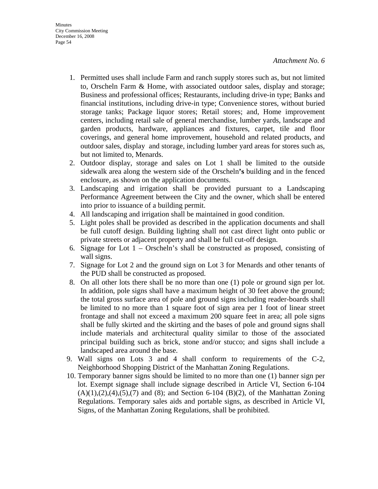- 1. Permitted uses shall include Farm and ranch supply stores such as, but not limited to, Orscheln Farm & Home, with associated outdoor sales, display and storage; Business and professional offices; Restaurants, including drive-in type; Banks and financial institutions, including drive-in type; Convenience stores, without buried storage tanks; Package liquor stores; Retail stores; and, Home improvement centers, including retail sale of general merchandise, lumber yards, landscape and garden products, hardware, appliances and fixtures, carpet, tile and floor coverings, and general home improvement, household and related products, and outdoor sales, display and storage, including lumber yard areas for stores such as, but not limited to, Menards.
- 2. Outdoor display, storage and sales on Lot 1 shall be limited to the outside sidewalk area along the western side of the Orscheln**'s** building and in the fenced enclosure, as shown on the application documents.
- 3. Landscaping and irrigation shall be provided pursuant to a Landscaping Performance Agreement between the City and the owner, which shall be entered into prior to issuance of a building permit.
- 4. All landscaping and irrigation shall be maintained in good condition.
- 5. Light poles shall be provided as described in the application documents and shall be full cutoff design. Building lighting shall not cast direct light onto public or private streets or adjacent property and shall be full cut-off design.
- 6. Signage for Lot  $1 -$ Orscheln's shall be constructed as proposed, consisting of wall signs.
- 7. Signage for Lot 2 and the ground sign on Lot 3 for Menards and other tenants of the PUD shall be constructed as proposed.
- 8. On all other lots there shall be no more than one (1) pole or ground sign per lot. In addition, pole signs shall have a maximum height of 30 feet above the ground; the total gross surface area of pole and ground signs including reader-boards shall be limited to no more than 1 square foot of sign area per 1 foot of linear street frontage and shall not exceed a maximum 200 square feet in area; all pole signs shall be fully skirted and the skirting and the bases of pole and ground signs shall include materials and architectural quality similar to those of the associated principal building such as brick, stone and/or stucco; and signs shall include a landscaped area around the base.
- 9. Wall signs on Lots 3 and 4 shall conform to requirements of the C-2, Neighborhood Shopping District of the Manhattan Zoning Regulations.
- 10. Temporary banner signs should be limited to no more than one (1) banner sign per lot. Exempt signage shall include signage described in Article VI, Section 6-104  $(A)(1),(2),(4),(5),(7)$  and  $(8)$ ; and Section 6-104  $(B)(2)$ , of the Manhattan Zoning Regulations. Temporary sales aids and portable signs, as described in Article VI, Signs, of the Manhattan Zoning Regulations, shall be prohibited.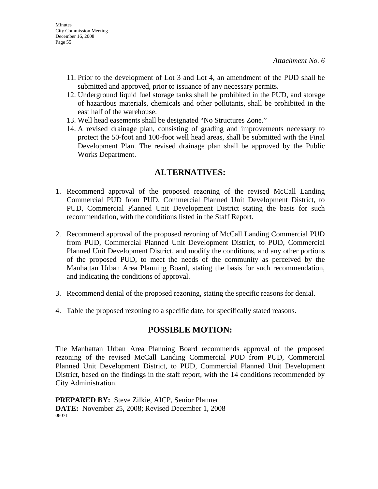- 11. Prior to the development of Lot 3 and Lot 4, an amendment of the PUD shall be submitted and approved, prior to issuance of any necessary permits.
- 12. Underground liquid fuel storage tanks shall be prohibited in the PUD, and storage of hazardous materials, chemicals and other pollutants, shall be prohibited in the east half of the warehouse.
- 13. Well head easements shall be designated "No Structures Zone."
- 14. A revised drainage plan, consisting of grading and improvements necessary to protect the 50-foot and 100-foot well head areas, shall be submitted with the Final Development Plan. The revised drainage plan shall be approved by the Public Works Department.

# **ALTERNATIVES:**

- 1. Recommend approval of the proposed rezoning of the revised McCall Landing Commercial PUD from PUD, Commercial Planned Unit Development District, to PUD, Commercial Planned Unit Development District stating the basis for such recommendation, with the conditions listed in the Staff Report.
- 2. Recommend approval of the proposed rezoning of McCall Landing Commercial PUD from PUD, Commercial Planned Unit Development District, to PUD, Commercial Planned Unit Development District, and modify the conditions, and any other portions of the proposed PUD, to meet the needs of the community as perceived by the Manhattan Urban Area Planning Board, stating the basis for such recommendation, and indicating the conditions of approval.
- 3. Recommend denial of the proposed rezoning, stating the specific reasons for denial.
- 4. Table the proposed rezoning to a specific date, for specifically stated reasons.

# **POSSIBLE MOTION:**

The Manhattan Urban Area Planning Board recommends approval of the proposed rezoning of the revised McCall Landing Commercial PUD from PUD, Commercial Planned Unit Development District, to PUD, Commercial Planned Unit Development District, based on the findings in the staff report, with the 14 conditions recommended by City Administration.

**PREPARED BY:** Steve Zilkie, AICP, Senior Planner **DATE:** November 25, 2008; Revised December 1, 2008 08071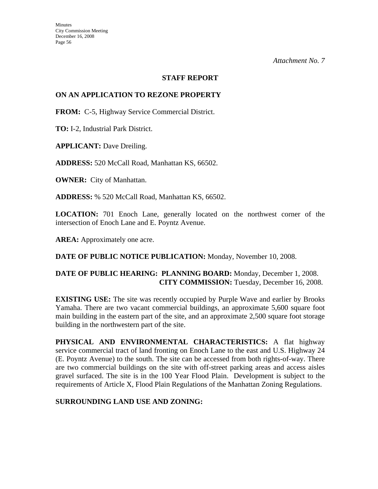#### **STAFF REPORT**

## **ON AN APPLICATION TO REZONE PROPERTY**

**FROM:** C-5, Highway Service Commercial District.

**TO:** I-2, Industrial Park District.

**APPLICANT:** Dave Dreiling.

**ADDRESS:** 520 McCall Road, Manhattan KS, 66502.

**OWNER:** City of Manhattan.

**ADDRESS:** % 520 McCall Road, Manhattan KS, 66502.

**LOCATION:** 701 Enoch Lane, generally located on the northwest corner of the intersection of Enoch Lane and E. Poyntz Avenue.

AREA: Approximately one acre.

**DATE OF PUBLIC NOTICE PUBLICATION:** Monday, November 10, 2008.

# **DATE OF PUBLIC HEARING: PLANNING BOARD:** Monday, December 1, 2008. **CITY COMMISSION:** Tuesday, December 16, 2008.

**EXISTING USE:** The site was recently occupied by Purple Wave and earlier by Brooks Yamaha. There are two vacant commercial buildings, an approximate 5,600 square foot main building in the eastern part of the site, and an approximate 2,500 square foot storage building in the northwestern part of the site.

**PHYSICAL AND ENVIRONMENTAL CHARACTERISTICS:** A flat highway service commercial tract of land fronting on Enoch Lane to the east and U.S. Highway 24 (E. Poyntz Avenue) to the south. The site can be accessed from both rights-of-way. There are two commercial buildings on the site with off-street parking areas and access aisles gravel surfaced. The site is in the 100 Year Flood Plain. Development is subject to the requirements of Article X, Flood Plain Regulations of the Manhattan Zoning Regulations.

# **SURROUNDING LAND USE AND ZONING:**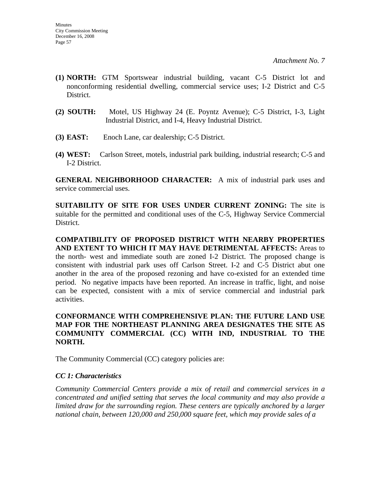- **(1) NORTH:** GTM Sportswear industrial building, vacant C-5 District lot and nonconforming residential dwelling, commercial service uses; I-2 District and C-5 District.
- **(2) SOUTH:** Motel, US Highway 24 (E. Poyntz Avenue); C-5 District, I-3, Light Industrial District, and I-4, Heavy Industrial District.
- **(3) EAST:** Enoch Lane, car dealership; C-5 District.
- **(4) WEST:** Carlson Street, motels, industrial park building, industrial research; C-5 and I-2 District.

**GENERAL NEIGHBORHOOD CHARACTER:** A mix of industrial park uses and service commercial uses.

**SUITABILITY OF SITE FOR USES UNDER CURRENT ZONING:** The site is suitable for the permitted and conditional uses of the C-5, Highway Service Commercial District.

**COMPATIBILITY OF PROPOSED DISTRICT WITH NEARBY PROPERTIES AND EXTENT TO WHICH IT MAY HAVE DETRIMENTAL AFFECTS:** Areas to the north- west and immediate south are zoned I-2 District. The proposed change is consistent with industrial park uses off Carlson Street. I-2 and C-5 District abut one another in the area of the proposed rezoning and have co-existed for an extended time period. No negative impacts have been reported. An increase in traffic, light, and noise can be expected, consistent with a mix of service commercial and industrial park activities.

# **CONFORMANCE WITH COMPREHENSIVE PLAN: THE FUTURE LAND USE MAP FOR THE NORTHEAST PLANNING AREA DESIGNATES THE SITE AS COMMUNITY COMMERCIAL (CC) WITH IND, INDUSTRIAL TO THE NORTH.**

The Community Commercial (CC) category policies are:

# *CC 1: Characteristics*

*Community Commercial Centers provide a mix of retail and commercial services in a concentrated and unified setting that serves the local community and may also provide a limited draw for the surrounding region. These centers are typically anchored by a larger national chain, between 120,000 and 250,000 square feet, which may provide sales of a*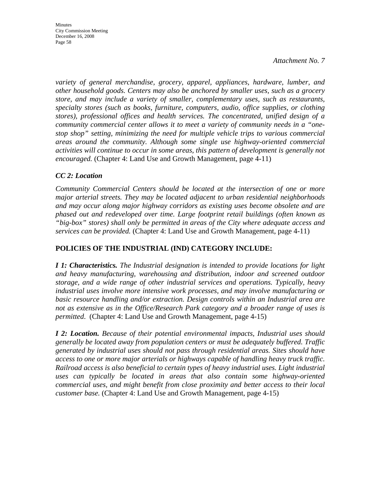**Minutes** City Commission Meeting December 16, 2008 Page 58

*Attachment No. 7* 

*variety of general merchandise, grocery, apparel, appliances, hardware, lumber, and other household goods. Centers may also be anchored by smaller uses, such as a grocery store, and may include a variety of smaller, complementary uses, such as restaurants, specialty stores (such as books, furniture, computers, audio, office supplies, or clothing stores), professional offices and health services. The concentrated, unified design of a community commercial center allows it to meet a variety of community needs in a "onestop shop" setting, minimizing the need for multiple vehicle trips to various commercial areas around the community. Although some single use highway-oriented commercial activities will continue to occur in some areas, this pattern of development is generally not encouraged.* (Chapter 4: Land Use and Growth Management, page 4-11)

### *CC 2: Location*

*Community Commercial Centers should be located at the intersection of one or more major arterial streets. They may be located adjacent to urban residential neighborhoods and may occur along major highway corridors as existing uses become obsolete and are phased out and redeveloped over time. Large footprint retail buildings (often known as "big-box" stores) shall only be permitted in areas of the City where adequate access and services can be provided.* (Chapter 4: Land Use and Growth Management, page 4-11)

# **POLICIES OF THE INDUSTRIAL (IND) CATEGORY INCLUDE:**

*I 1: Characteristics. The Industrial designation is intended to provide locations for light and heavy manufacturing, warehousing and distribution, indoor and screened outdoor storage, and a wide range of other industrial services and operations. Typically, heavy industrial uses involve more intensive work processes, and may involve manufacturing or basic resource handling and/or extraction. Design controls within an Industrial area are not as extensive as in the Office/Research Park category and a broader range of uses is permitted*. (Chapter 4: Land Use and Growth Management, page 4-15)

*I 2: Location. Because of their potential environmental impacts, Industrial uses should generally be located away from population centers or must be adequately buffered. Traffic generated by industrial uses should not pass through residential areas. Sites should have access to one or more major arterials or highways capable of handling heavy truck traffic. Railroad access is also beneficial to certain types of heavy industrial uses. Light industrial uses can typically be located in areas that also contain some highway-oriented commercial uses, and might benefit from close proximity and better access to their local customer base.* (Chapter 4: Land Use and Growth Management, page 4-15)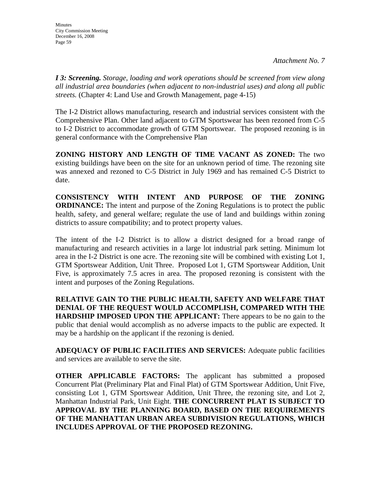*I 3: Screening. Storage, loading and work operations should be screened from view along all industrial area boundaries (when adjacent to non-industrial uses) and along all public streets.* (Chapter 4: Land Use and Growth Management, page 4-15)

The I-2 District allows manufacturing, research and industrial services consistent with the Comprehensive Plan. Other land adjacent to GTM Sportswear has been rezoned from C-5 to I-2 District to accommodate growth of GTM Sportswear. The proposed rezoning is in general conformance with the Comprehensive Plan

**ZONING HISTORY AND LENGTH OF TIME VACANT AS ZONED:** The two existing buildings have been on the site for an unknown period of time. The rezoning site was annexed and rezoned to C-5 District in July 1969 and has remained C-5 District to date.

**CONSISTENCY WITH INTENT AND PURPOSE OF THE ZONING ORDINANCE:** The intent and purpose of the Zoning Regulations is to protect the public health, safety, and general welfare; regulate the use of land and buildings within zoning districts to assure compatibility; and to protect property values.

The intent of the I-2 District is to allow a district designed for a broad range of manufacturing and research activities in a large lot industrial park setting. Minimum lot area in the I-2 District is one acre. The rezoning site will be combined with existing Lot 1, GTM Sportswear Addition, Unit Three. Proposed Lot 1, GTM Sportswear Addition, Unit Five, is approximately 7.5 acres in area. The proposed rezoning is consistent with the intent and purposes of the Zoning Regulations.

**RELATIVE GAIN TO THE PUBLIC HEALTH, SAFETY AND WELFARE THAT DENIAL OF THE REQUEST WOULD ACCOMPLISH, COMPARED WITH THE HARDSHIP IMPOSED UPON THE APPLICANT:** There appears to be no gain to the public that denial would accomplish as no adverse impacts to the public are expected. It may be a hardship on the applicant if the rezoning is denied.

**ADEQUACY OF PUBLIC FACILITIES AND SERVICES:** Adequate public facilities and services are available to serve the site.

**OTHER APPLICABLE FACTORS:** The applicant has submitted a proposed Concurrent Plat (Preliminary Plat and Final Plat) of GTM Sportswear Addition, Unit Five, consisting Lot 1, GTM Sportswear Addition, Unit Three, the rezoning site, and Lot 2, Manhattan Industrial Park, Unit Eight. **THE CONCURRENT PLAT IS SUBJECT TO APPROVAL BY THE PLANNING BOARD, BASED ON THE REQUIREMENTS OF THE MANHATTAN URBAN AREA SUBDIVISION REGULATIONS, WHICH INCLUDES APPROVAL OF THE PROPOSED REZONING.**